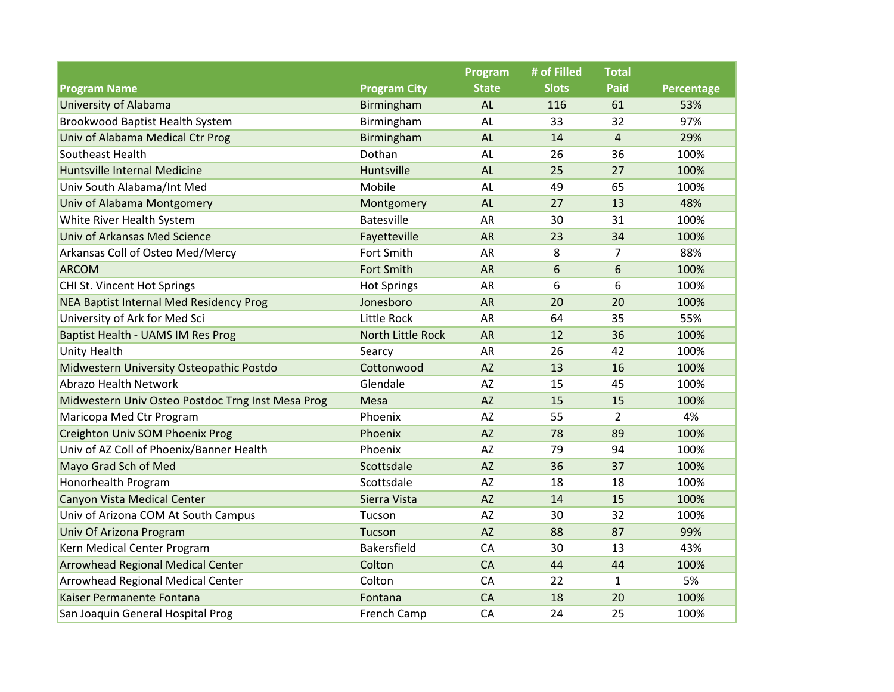|                                                   |                     | Program      | # of Filled  | <b>Total</b>   |                   |
|---------------------------------------------------|---------------------|--------------|--------------|----------------|-------------------|
| <b>Program Name</b>                               | <b>Program City</b> | <b>State</b> | <b>Slots</b> | <b>Paid</b>    | <b>Percentage</b> |
| <b>University of Alabama</b>                      | Birmingham          | <b>AL</b>    | 116          | 61             | 53%               |
| Brookwood Baptist Health System                   | Birmingham          | AL           | 33           | 32             | 97%               |
| Univ of Alabama Medical Ctr Prog                  | Birmingham          | <b>AL</b>    | 14           | 4              | 29%               |
| Southeast Health                                  | Dothan              | AL           | 26           | 36             | 100%              |
| <b>Huntsville Internal Medicine</b>               | Huntsville          | <b>AL</b>    | 25           | 27             | 100%              |
| Univ South Alabama/Int Med                        | Mobile              | AL           | 49           | 65             | 100%              |
| Univ of Alabama Montgomery                        | Montgomery          | <b>AL</b>    | 27           | 13             | 48%               |
| White River Health System                         | <b>Batesville</b>   | <b>AR</b>    | 30           | 31             | 100%              |
| Univ of Arkansas Med Science                      | Fayetteville        | <b>AR</b>    | 23           | 34             | 100%              |
| Arkansas Coll of Osteo Med/Mercy                  | Fort Smith          | <b>AR</b>    | 8            | $\overline{7}$ | 88%               |
| <b>ARCOM</b>                                      | <b>Fort Smith</b>   | <b>AR</b>    | 6            | 6              | 100%              |
| CHI St. Vincent Hot Springs                       | <b>Hot Springs</b>  | AR           | 6            | 6              | 100%              |
| NEA Baptist Internal Med Residency Prog           | Jonesboro           | <b>AR</b>    | 20           | 20             | 100%              |
| University of Ark for Med Sci                     | Little Rock         | <b>AR</b>    | 64           | 35             | 55%               |
| Baptist Health - UAMS IM Res Prog                 | North Little Rock   | <b>AR</b>    | 12           | 36             | 100%              |
| <b>Unity Health</b>                               | Searcy              | AR           | 26           | 42             | 100%              |
| Midwestern University Osteopathic Postdo          | Cottonwood          | <b>AZ</b>    | 13           | 16             | 100%              |
| <b>Abrazo Health Network</b>                      | Glendale            | <b>AZ</b>    | 15           | 45             | 100%              |
| Midwestern Univ Osteo Postdoc Trng Inst Mesa Prog | Mesa                | <b>AZ</b>    | 15           | 15             | 100%              |
| Maricopa Med Ctr Program                          | Phoenix             | AZ           | 55           | $\overline{2}$ | 4%                |
| Creighton Univ SOM Phoenix Prog                   | Phoenix             | <b>AZ</b>    | 78           | 89             | 100%              |
| Univ of AZ Coll of Phoenix/Banner Health          | Phoenix             | AZ           | 79           | 94             | 100%              |
| Mayo Grad Sch of Med                              | Scottsdale          | <b>AZ</b>    | 36           | 37             | 100%              |
| Honorhealth Program                               | Scottsdale          | <b>AZ</b>    | 18           | 18             | 100%              |
| <b>Canyon Vista Medical Center</b>                | Sierra Vista        | <b>AZ</b>    | 14           | 15             | 100%              |
| Univ of Arizona COM At South Campus               | Tucson              | <b>AZ</b>    | 30           | 32             | 100%              |
| Univ Of Arizona Program                           | Tucson              | <b>AZ</b>    | 88           | 87             | 99%               |
| Kern Medical Center Program                       | Bakersfield         | CA           | 30           | 13             | 43%               |
| <b>Arrowhead Regional Medical Center</b>          | Colton              | CA           | 44           | 44             | 100%              |
| <b>Arrowhead Regional Medical Center</b>          | Colton              | CA           | 22           | $\mathbf{1}$   | 5%                |
| Kaiser Permanente Fontana                         | Fontana             | CA           | 18           | 20             | 100%              |
| San Joaquin General Hospital Prog                 | French Camp         | CA           | 24           | 25             | 100%              |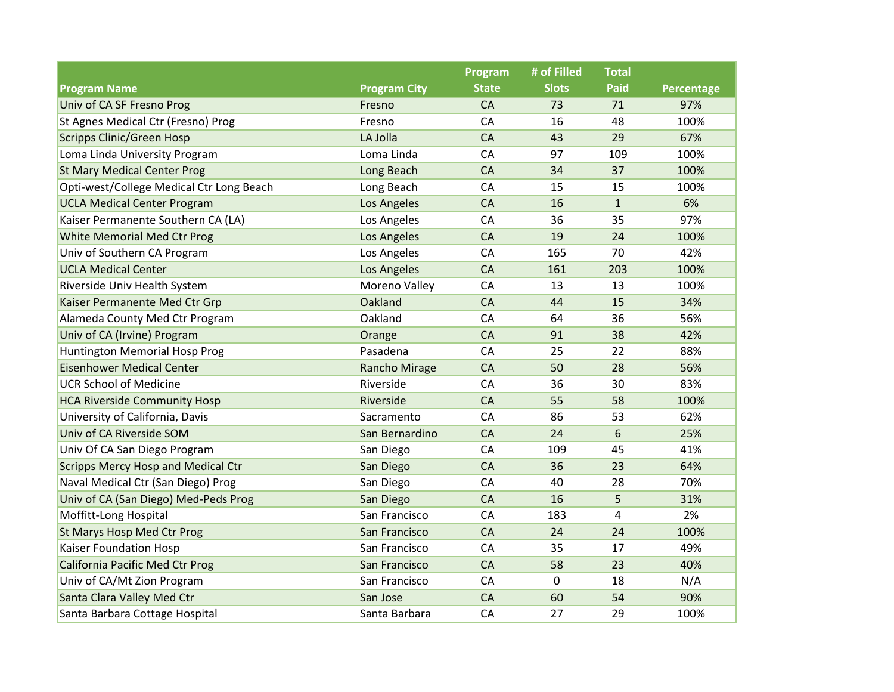|                                           |                     | Program      | # of Filled      | <b>Total</b> |            |
|-------------------------------------------|---------------------|--------------|------------------|--------------|------------|
| <b>Program Name</b>                       | <b>Program City</b> | <b>State</b> | <b>Slots</b>     | <b>Paid</b>  | Percentage |
| Univ of CA SF Fresno Prog                 | Fresno              | CA           | 73               | 71           | 97%        |
| St Agnes Medical Ctr (Fresno) Prog        | Fresno              | CA           | 16               | 48           | 100%       |
| <b>Scripps Clinic/Green Hosp</b>          | LA Jolla            | CA           | 43               | 29           | 67%        |
| Loma Linda University Program             | Loma Linda          | CA           | 97               | 109          | 100%       |
| <b>St Mary Medical Center Prog</b>        | Long Beach          | CA           | 34               | 37           | 100%       |
| Opti-west/College Medical Ctr Long Beach  | Long Beach          | CA           | 15               | 15           | 100%       |
| <b>UCLA Medical Center Program</b>        | Los Angeles         | CA           | 16               | $\mathbf{1}$ | 6%         |
| Kaiser Permanente Southern CA (LA)        | Los Angeles         | CA           | 36               | 35           | 97%        |
| White Memorial Med Ctr Prog               | Los Angeles         | <b>CA</b>    | 19               | 24           | 100%       |
| Univ of Southern CA Program               | Los Angeles         | CA           | 165              | 70           | 42%        |
| <b>UCLA Medical Center</b>                | Los Angeles         | <b>CA</b>    | 161              | 203          | 100%       |
| Riverside Univ Health System              | Moreno Valley       | CA           | 13               | 13           | 100%       |
| Kaiser Permanente Med Ctr Grp             | Oakland             | <b>CA</b>    | 44               | 15           | 34%        |
| Alameda County Med Ctr Program            | Oakland             | CA           | 64               | 36           | 56%        |
| Univ of CA (Irvine) Program               | Orange              | <b>CA</b>    | 91               | 38           | 42%        |
| Huntington Memorial Hosp Prog             | Pasadena            | CA           | 25               | 22           | 88%        |
| <b>Eisenhower Medical Center</b>          | Rancho Mirage       | <b>CA</b>    | 50               | 28           | 56%        |
| <b>UCR School of Medicine</b>             | Riverside           | CA           | 36               | 30           | 83%        |
| <b>HCA Riverside Community Hosp</b>       | Riverside           | <b>CA</b>    | 55               | 58           | 100%       |
| University of California, Davis           | Sacramento          | CA           | 86               | 53           | 62%        |
| Univ of CA Riverside SOM                  | San Bernardino      | CA           | 24               | 6            | 25%        |
| Univ Of CA San Diego Program              | San Diego           | CA           | 109              | 45           | 41%        |
| <b>Scripps Mercy Hosp and Medical Ctr</b> | San Diego           | <b>CA</b>    | 36               | 23           | 64%        |
| Naval Medical Ctr (San Diego) Prog        | San Diego           | CA           | 40               | 28           | 70%        |
| Univ of CA (San Diego) Med-Peds Prog      | San Diego           | <b>CA</b>    | 16               | 5            | 31%        |
| Moffitt-Long Hospital                     | San Francisco       | CA           | 183              | 4            | 2%         |
| St Marys Hosp Med Ctr Prog                | San Francisco       | <b>CA</b>    | 24               | 24           | 100%       |
| Kaiser Foundation Hosp                    | San Francisco       | CA           | 35               | 17           | 49%        |
| <b>California Pacific Med Ctr Prog</b>    | San Francisco       | CA           | 58               | 23           | 40%        |
| Univ of CA/Mt Zion Program                | San Francisco       | CA           | $\boldsymbol{0}$ | 18           | N/A        |
| Santa Clara Valley Med Ctr                | San Jose            | <b>CA</b>    | 60               | 54           | 90%        |
| Santa Barbara Cottage Hospital            | Santa Barbara       | CA           | 27               | 29           | 100%       |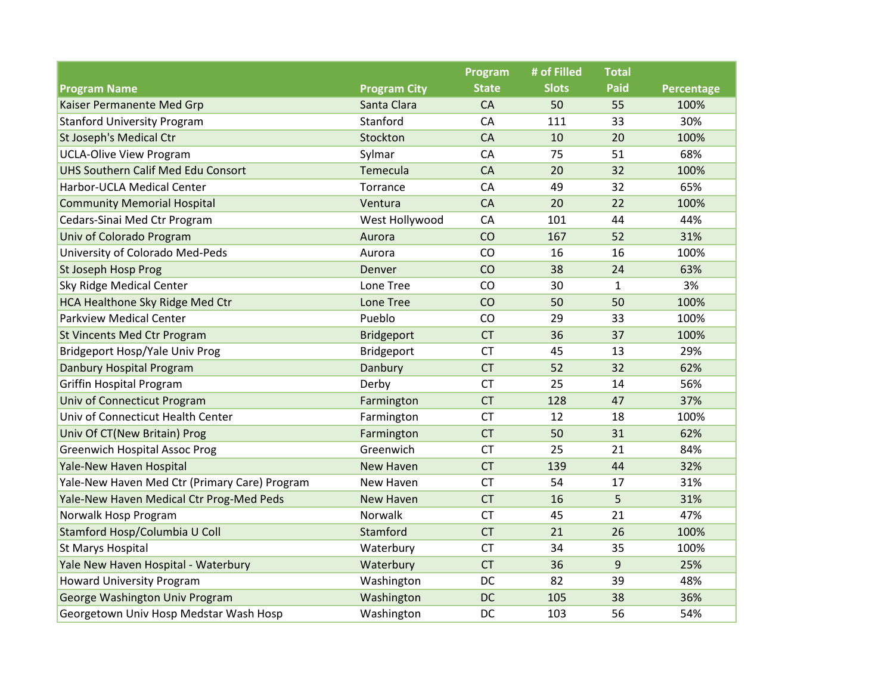|                                               |                     | Program      | # of Filled  | <b>Total</b> |            |
|-----------------------------------------------|---------------------|--------------|--------------|--------------|------------|
| <b>Program Name</b>                           | <b>Program City</b> | <b>State</b> | <b>Slots</b> | Paid         | Percentage |
| Kaiser Permanente Med Grp                     | Santa Clara         | CA           | 50           | 55           | 100%       |
| <b>Stanford University Program</b>            | Stanford            | CA           | 111          | 33           | 30%        |
| <b>St Joseph's Medical Ctr</b>                | Stockton            | <b>CA</b>    | 10           | 20           | 100%       |
| <b>UCLA-Olive View Program</b>                | Sylmar              | CA           | 75           | 51           | 68%        |
| UHS Southern Calif Med Edu Consort            | Temecula            | <b>CA</b>    | 20           | 32           | 100%       |
| Harbor-UCLA Medical Center                    | Torrance            | CA           | 49           | 32           | 65%        |
| <b>Community Memorial Hospital</b>            | Ventura             | <b>CA</b>    | 20           | 22           | 100%       |
| Cedars-Sinai Med Ctr Program                  | West Hollywood      | CA           | 101          | 44           | 44%        |
| Univ of Colorado Program                      | Aurora              | CO           | 167          | 52           | 31%        |
| University of Colorado Med-Peds               | Aurora              | CO           | 16           | 16           | 100%       |
| St Joseph Hosp Prog                           | Denver              | CO           | 38           | 24           | 63%        |
| <b>Sky Ridge Medical Center</b>               | Lone Tree           | CO           | 30           | 1            | 3%         |
| <b>HCA Healthone Sky Ridge Med Ctr</b>        | <b>Lone Tree</b>    | CO           | 50           | 50           | 100%       |
| <b>Parkview Medical Center</b>                | Pueblo              | CO           | 29           | 33           | 100%       |
| <b>St Vincents Med Ctr Program</b>            | Bridgeport          | <b>CT</b>    | 36           | 37           | 100%       |
| Bridgeport Hosp/Yale Univ Prog                | Bridgeport          | <b>CT</b>    | 45           | 13           | 29%        |
| Danbury Hospital Program                      | Danbury             | <b>CT</b>    | 52           | 32           | 62%        |
| <b>Griffin Hospital Program</b>               | Derby               | <b>CT</b>    | 25           | 14           | 56%        |
| Univ of Connecticut Program                   | Farmington          | <b>CT</b>    | 128          | 47           | 37%        |
| Univ of Connecticut Health Center             | Farmington          | <b>CT</b>    | 12           | 18           | 100%       |
| Univ Of CT(New Britain) Prog                  | Farmington          | <b>CT</b>    | 50           | 31           | 62%        |
| <b>Greenwich Hospital Assoc Prog</b>          | Greenwich           | <b>CT</b>    | 25           | 21           | 84%        |
| Yale-New Haven Hospital                       | <b>New Haven</b>    | <b>CT</b>    | 139          | 44           | 32%        |
| Yale-New Haven Med Ctr (Primary Care) Program | New Haven           | <b>CT</b>    | 54           | 17           | 31%        |
| Yale-New Haven Medical Ctr Prog-Med Peds      | <b>New Haven</b>    | <b>CT</b>    | 16           | 5            | 31%        |
| Norwalk Hosp Program                          | Norwalk             | <b>CT</b>    | 45           | 21           | 47%        |
| Stamford Hosp/Columbia U Coll                 | Stamford            | <b>CT</b>    | 21           | 26           | 100%       |
| <b>St Marys Hospital</b>                      | Waterbury           | <b>CT</b>    | 34           | 35           | 100%       |
| Yale New Haven Hospital - Waterbury           | Waterbury           | <b>CT</b>    | 36           | 9            | 25%        |
| <b>Howard University Program</b>              | Washington          | DC           | 82           | 39           | 48%        |
| George Washington Univ Program                | Washington          | <b>DC</b>    | 105          | 38           | 36%        |
| Georgetown Univ Hosp Medstar Wash Hosp        | Washington          | DC           | 103          | 56           | 54%        |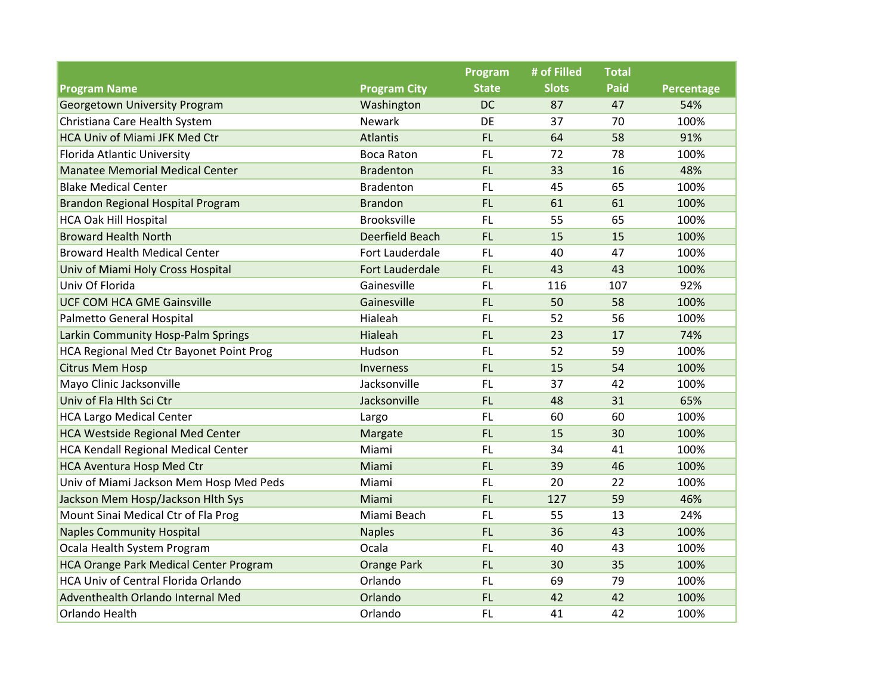|                                            |                        | Program      | # of Filled  | <b>Total</b> |            |
|--------------------------------------------|------------------------|--------------|--------------|--------------|------------|
| <b>Program Name</b>                        | <b>Program City</b>    | <b>State</b> | <b>Slots</b> | <b>Paid</b>  | Percentage |
| <b>Georgetown University Program</b>       | Washington             | <b>DC</b>    | 87           | 47           | 54%        |
| Christiana Care Health System              | <b>Newark</b>          | DE           | 37           | 70           | 100%       |
| HCA Univ of Miami JFK Med Ctr              | <b>Atlantis</b>        | FL           | 64           | 58           | 91%        |
| Florida Atlantic University                | <b>Boca Raton</b>      | <b>FL</b>    | 72           | 78           | 100%       |
| <b>Manatee Memorial Medical Center</b>     | <b>Bradenton</b>       | FL.          | 33           | 16           | 48%        |
| <b>Blake Medical Center</b>                | <b>Bradenton</b>       | FL           | 45           | 65           | 100%       |
| Brandon Regional Hospital Program          | <b>Brandon</b>         | <b>FL</b>    | 61           | 61           | 100%       |
| <b>HCA Oak Hill Hospital</b>               | <b>Brooksville</b>     | <b>FL</b>    | 55           | 65           | 100%       |
| <b>Broward Health North</b>                | Deerfield Beach        | FL.          | 15           | 15           | 100%       |
| <b>Broward Health Medical Center</b>       | Fort Lauderdale        | <b>FL</b>    | 40           | 47           | 100%       |
| Univ of Miami Holy Cross Hospital          | <b>Fort Lauderdale</b> | <b>FL</b>    | 43           | 43           | 100%       |
| Univ Of Florida                            | Gainesville            | <b>FL</b>    | 116          | 107          | 92%        |
| <b>UCF COM HCA GME Gainsville</b>          | Gainesville            | FL.          | 50           | 58           | 100%       |
| Palmetto General Hospital                  | Hialeah                | <b>FL</b>    | 52           | 56           | 100%       |
| Larkin Community Hosp-Palm Springs         | Hialeah                | <b>FL</b>    | 23           | 17           | 74%        |
| HCA Regional Med Ctr Bayonet Point Prog    | Hudson                 | <b>FL</b>    | 52           | 59           | 100%       |
| <b>Citrus Mem Hosp</b>                     | <b>Inverness</b>       | <b>FL</b>    | 15           | 54           | 100%       |
| Mayo Clinic Jacksonville                   | Jacksonville           | <b>FL</b>    | 37           | 42           | 100%       |
| Univ of Fla Hlth Sci Ctr                   | Jacksonville           | <b>FL</b>    | 48           | 31           | 65%        |
| <b>HCA Largo Medical Center</b>            | Largo                  | <b>FL</b>    | 60           | 60           | 100%       |
| <b>HCA Westside Regional Med Center</b>    | Margate                | FL.          | 15           | 30           | 100%       |
| <b>HCA Kendall Regional Medical Center</b> | Miami                  | <b>FL</b>    | 34           | 41           | 100%       |
| <b>HCA Aventura Hosp Med Ctr</b>           | Miami                  | <b>FL</b>    | 39           | 46           | 100%       |
| Univ of Miami Jackson Mem Hosp Med Peds    | Miami                  | FL           | 20           | 22           | 100%       |
| Jackson Mem Hosp/Jackson Hith Sys          | Miami                  | <b>FL</b>    | 127          | 59           | 46%        |
| Mount Sinai Medical Ctr of Fla Prog        | Miami Beach            | <b>FL</b>    | 55           | 13           | 24%        |
| <b>Naples Community Hospital</b>           | <b>Naples</b>          | FL.          | 36           | 43           | 100%       |
| Ocala Health System Program                | Ocala                  | <b>FL</b>    | 40           | 43           | 100%       |
| HCA Orange Park Medical Center Program     | <b>Orange Park</b>     | FL           | 30           | 35           | 100%       |
| <b>HCA Univ of Central Florida Orlando</b> | Orlando                | FL           | 69           | 79           | 100%       |
| Adventhealth Orlando Internal Med          | Orlando                | <b>FL</b>    | 42           | 42           | 100%       |
| Orlando Health                             | Orlando                | FL.          | 41           | 42           | 100%       |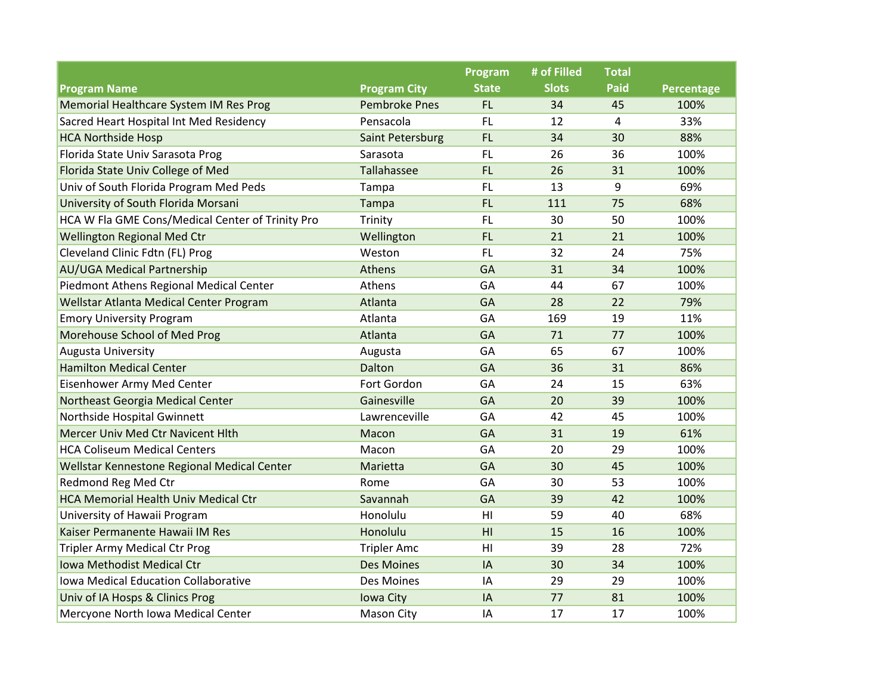|                                                  |                      | Program        | # of Filled  | <b>Total</b> |            |
|--------------------------------------------------|----------------------|----------------|--------------|--------------|------------|
| <b>Program Name</b>                              | <b>Program City</b>  | <b>State</b>   | <b>Slots</b> | <b>Paid</b>  | Percentage |
| Memorial Healthcare System IM Res Prog           | <b>Pembroke Pnes</b> | FL             | 34           | 45           | 100%       |
| Sacred Heart Hospital Int Med Residency          | Pensacola            | <b>FL</b>      | 12           | 4            | 33%        |
| <b>HCA Northside Hosp</b>                        | Saint Petersburg     | FL             | 34           | 30           | 88%        |
| Florida State Univ Sarasota Prog                 | Sarasota             | <b>FL</b>      | 26           | 36           | 100%       |
| Florida State Univ College of Med                | Tallahassee          | FL.            | 26           | 31           | 100%       |
| Univ of South Florida Program Med Peds           | Tampa                | FL.            | 13           | 9            | 69%        |
| University of South Florida Morsani              | Tampa                | FL.            | 111          | 75           | 68%        |
| HCA W Fla GME Cons/Medical Center of Trinity Pro | Trinity              | FL.            | 30           | 50           | 100%       |
| <b>Wellington Regional Med Ctr</b>               | Wellington           | FL.            | 21           | 21           | 100%       |
| Cleveland Clinic Fdtn (FL) Prog                  | Weston               | FL.            | 32           | 24           | 75%        |
| <b>AU/UGA Medical Partnership</b>                | Athens               | GA             | 31           | 34           | 100%       |
| Piedmont Athens Regional Medical Center          | Athens               | GA             | 44           | 67           | 100%       |
| Wellstar Atlanta Medical Center Program          | Atlanta              | GA             | 28           | 22           | 79%        |
| <b>Emory University Program</b>                  | Atlanta              | GA             | 169          | 19           | 11%        |
| Morehouse School of Med Prog                     | Atlanta              | GA             | 71           | 77           | 100%       |
| <b>Augusta University</b>                        | Augusta              | GA             | 65           | 67           | 100%       |
| <b>Hamilton Medical Center</b>                   | Dalton               | GA             | 36           | 31           | 86%        |
| <b>Eisenhower Army Med Center</b>                | Fort Gordon          | GA             | 24           | 15           | 63%        |
| Northeast Georgia Medical Center                 | Gainesville          | GA             | 20           | 39           | 100%       |
| Northside Hospital Gwinnett                      | Lawrenceville        | GA             | 42           | 45           | 100%       |
| Mercer Univ Med Ctr Navicent Hlth                | Macon                | GA             | 31           | 19           | 61%        |
| <b>HCA Coliseum Medical Centers</b>              | Macon                | GA             | 20           | 29           | 100%       |
| Wellstar Kennestone Regional Medical Center      | Marietta             | GA             | 30           | 45           | 100%       |
| <b>Redmond Reg Med Ctr</b>                       | Rome                 | GA             | 30           | 53           | 100%       |
| <b>HCA Memorial Health Univ Medical Ctr</b>      | Savannah             | GA             | 39           | 42           | 100%       |
| University of Hawaii Program                     | Honolulu             | H <sub>l</sub> | 59           | 40           | 68%        |
| Kaiser Permanente Hawaii IM Res                  | Honolulu             | HI             | 15           | 16           | 100%       |
| <b>Tripler Army Medical Ctr Prog</b>             | <b>Tripler Amc</b>   | H1             | 39           | 28           | 72%        |
| Iowa Methodist Medical Ctr                       | <b>Des Moines</b>    | IA             | 30           | 34           | 100%       |
| <b>Iowa Medical Education Collaborative</b>      | Des Moines           | IA             | 29           | 29           | 100%       |
| Univ of IA Hosps & Clinics Prog                  | Iowa City            | IA             | 77           | 81           | 100%       |
| Mercyone North Iowa Medical Center               | <b>Mason City</b>    | IA             | 17           | 17           | 100%       |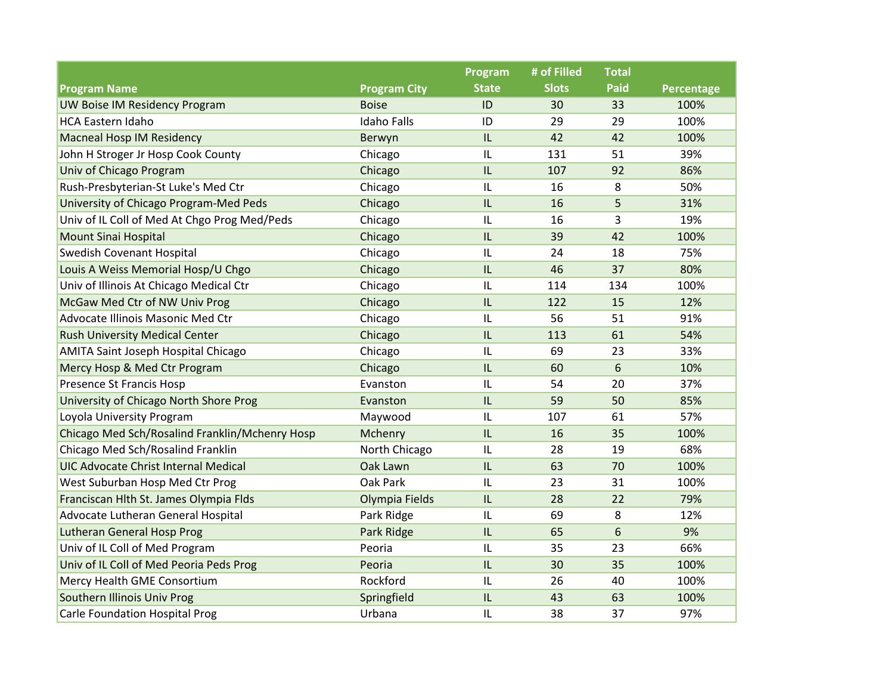|                                                |                     | Program      | # of Filled  | <b>Total</b> |            |
|------------------------------------------------|---------------------|--------------|--------------|--------------|------------|
| <b>Program Name</b>                            | <b>Program City</b> | <b>State</b> | <b>Slots</b> | <b>Paid</b>  | Percentage |
| UW Boise IM Residency Program                  | <b>Boise</b>        | ID           | 30           | 33           | 100%       |
| <b>HCA Eastern Idaho</b>                       | <b>Idaho Falls</b>  | ID           | 29           | 29           | 100%       |
| <b>Macneal Hosp IM Residency</b>               | Berwyn              | IL           | 42           | 42           | 100%       |
| John H Stroger Jr Hosp Cook County             | Chicago             | IL           | 131          | 51           | 39%        |
| Univ of Chicago Program                        | Chicago             | IL           | 107          | 92           | 86%        |
| Rush-Presbyterian-St Luke's Med Ctr            | Chicago             | IL           | 16           | 8            | 50%        |
| University of Chicago Program-Med Peds         | Chicago             | IL           | 16           | 5            | 31%        |
| Univ of IL Coll of Med At Chgo Prog Med/Peds   | Chicago             | IL           | 16           | 3            | 19%        |
| <b>Mount Sinai Hospital</b>                    | Chicago             | IL           | 39           | 42           | 100%       |
| Swedish Covenant Hospital                      | Chicago             | IL           | 24           | 18           | 75%        |
| Louis A Weiss Memorial Hosp/U Chgo             | Chicago             | IL           | 46           | 37           | 80%        |
| Univ of Illinois At Chicago Medical Ctr        | Chicago             | IL           | 114          | 134          | 100%       |
| McGaw Med Ctr of NW Univ Prog                  | Chicago             | IL           | 122          | 15           | 12%        |
| Advocate Illinois Masonic Med Ctr              | Chicago             | IL           | 56           | 51           | 91%        |
| <b>Rush University Medical Center</b>          | Chicago             | IL           | 113          | 61           | 54%        |
| <b>AMITA Saint Joseph Hospital Chicago</b>     | Chicago             | IL           | 69           | 23           | 33%        |
| Mercy Hosp & Med Ctr Program                   | Chicago             | IL           | 60           | 6            | 10%        |
| <b>Presence St Francis Hosp</b>                | Evanston            | IL           | 54           | 20           | 37%        |
| University of Chicago North Shore Prog         | Evanston            | IL           | 59           | 50           | 85%        |
| Loyola University Program                      | Maywood             | IL           | 107          | 61           | 57%        |
| Chicago Med Sch/Rosalind Franklin/Mchenry Hosp | Mchenry             | IL           | 16           | 35           | 100%       |
| Chicago Med Sch/Rosalind Franklin              | North Chicago       | IL           | 28           | 19           | 68%        |
| <b>UIC Advocate Christ Internal Medical</b>    | Oak Lawn            | IL           | 63           | 70           | 100%       |
| West Suburban Hosp Med Ctr Prog                | Oak Park            | IL           | 23           | 31           | 100%       |
| Franciscan Hlth St. James Olympia Flds         | Olympia Fields      | IL           | 28           | 22           | 79%        |
| Advocate Lutheran General Hospital             | Park Ridge          | IL           | 69           | 8            | 12%        |
| <b>Lutheran General Hosp Prog</b>              | Park Ridge          | IL           | 65           | 6            | 9%         |
| Univ of IL Coll of Med Program                 | Peoria              | IL           | 35           | 23           | 66%        |
| Univ of IL Coll of Med Peoria Peds Prog        | Peoria              | IL           | 30           | 35           | 100%       |
| Mercy Health GME Consortium                    | Rockford            | IL           | 26           | 40           | 100%       |
| Southern Illinois Univ Prog                    | Springfield         | IL           | 43           | 63           | 100%       |
| <b>Carle Foundation Hospital Prog</b>          | Urbana              | IL           | 38           | 37           | 97%        |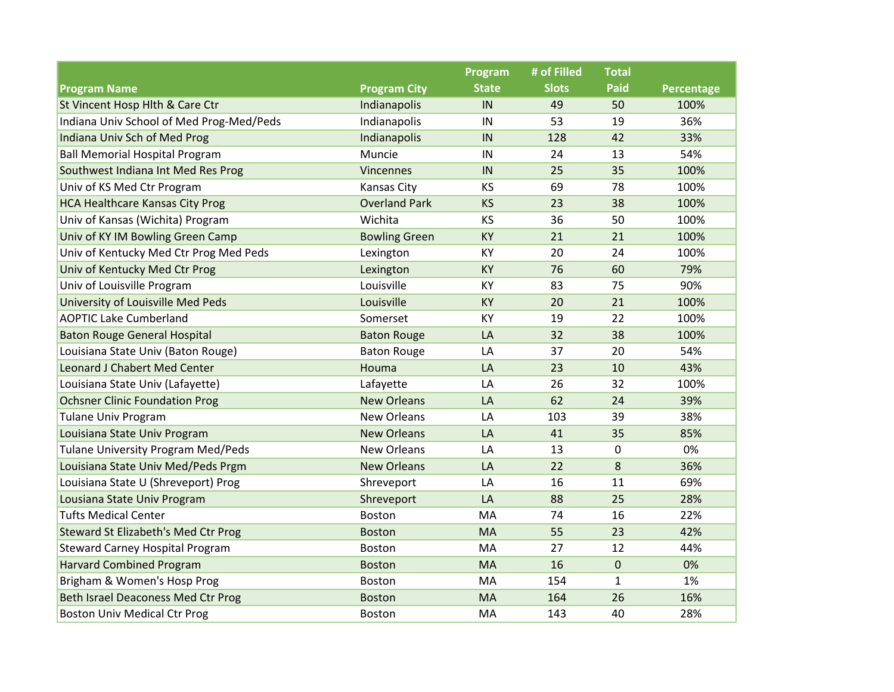|                                            |                      | Program      | # of Filled  | <b>Total</b> |            |
|--------------------------------------------|----------------------|--------------|--------------|--------------|------------|
| <b>Program Name</b>                        | <b>Program City</b>  | <b>State</b> | <b>Slots</b> | <b>Paid</b>  | Percentage |
| St Vincent Hosp Hlth & Care Ctr            | Indianapolis         | IN           | 49           | 50           | 100%       |
| Indiana Univ School of Med Prog-Med/Peds   | Indianapolis         | IN           | 53           | 19           | 36%        |
| Indiana Univ Sch of Med Prog               | Indianapolis         | IN           | 128          | 42           | 33%        |
| <b>Ball Memorial Hospital Program</b>      | Muncie               | IN           | 24           | 13           | 54%        |
| Southwest Indiana Int Med Res Prog         | <b>Vincennes</b>     | IN           | 25           | 35           | 100%       |
| Univ of KS Med Ctr Program                 | Kansas City          | KS           | 69           | 78           | 100%       |
| <b>HCA Healthcare Kansas City Prog</b>     | <b>Overland Park</b> | <b>KS</b>    | 23           | 38           | 100%       |
| Univ of Kansas (Wichita) Program           | Wichita              | <b>KS</b>    | 36           | 50           | 100%       |
| Univ of KY IM Bowling Green Camp           | <b>Bowling Green</b> | <b>KY</b>    | 21           | 21           | 100%       |
| Univ of Kentucky Med Ctr Prog Med Peds     | Lexington            | KY           | 20           | 24           | 100%       |
| Univ of Kentucky Med Ctr Prog              | Lexington            | KY           | 76           | 60           | 79%        |
| Univ of Louisville Program                 | Louisville           | KY           | 83           | 75           | 90%        |
| University of Louisville Med Peds          | Louisville           | <b>KY</b>    | 20           | 21           | 100%       |
| <b>AOPTIC Lake Cumberland</b>              | Somerset             | KY           | 19           | 22           | 100%       |
| <b>Baton Rouge General Hospital</b>        | <b>Baton Rouge</b>   | LA           | 32           | 38           | 100%       |
| Louisiana State Univ (Baton Rouge)         | <b>Baton Rouge</b>   | LA           | 37           | 20           | 54%        |
| <b>Leonard J Chabert Med Center</b>        | Houma                | LA           | 23           | 10           | 43%        |
| Louisiana State Univ (Lafayette)           | Lafayette            | LA           | 26           | 32           | 100%       |
| <b>Ochsner Clinic Foundation Prog</b>      | <b>New Orleans</b>   | LA           | 62           | 24           | 39%        |
| <b>Tulane Univ Program</b>                 | <b>New Orleans</b>   | LA           | 103          | 39           | 38%        |
| Louisiana State Univ Program               | <b>New Orleans</b>   | LA           | 41           | 35           | 85%        |
| <b>Tulane University Program Med/Peds</b>  | <b>New Orleans</b>   | LA           | 13           | 0            | 0%         |
| Louisiana State Univ Med/Peds Prgm         | <b>New Orleans</b>   | LA           | 22           | 8            | 36%        |
| Louisiana State U (Shreveport) Prog        | Shreveport           | LA           | 16           | 11           | 69%        |
| Lousiana State Univ Program                | Shreveport           | LA           | 88           | 25           | 28%        |
| <b>Tufts Medical Center</b>                | <b>Boston</b>        | MA           | 74           | 16           | 22%        |
| <b>Steward St Elizabeth's Med Ctr Prog</b> | <b>Boston</b>        | <b>MA</b>    | 55           | 23           | 42%        |
| <b>Steward Carney Hospital Program</b>     | Boston               | MA           | 27           | 12           | 44%        |
| <b>Harvard Combined Program</b>            | <b>Boston</b>        | <b>MA</b>    | 16           | 0            | 0%         |
| Brigham & Women's Hosp Prog                | <b>Boston</b>        | MA           | 154          | $\mathbf{1}$ | 1%         |
| <b>Beth Israel Deaconess Med Ctr Prog</b>  | <b>Boston</b>        | <b>MA</b>    | 164          | 26           | 16%        |
| <b>Boston Univ Medical Ctr Prog</b>        | <b>Boston</b>        | MA           | 143          | 40           | 28%        |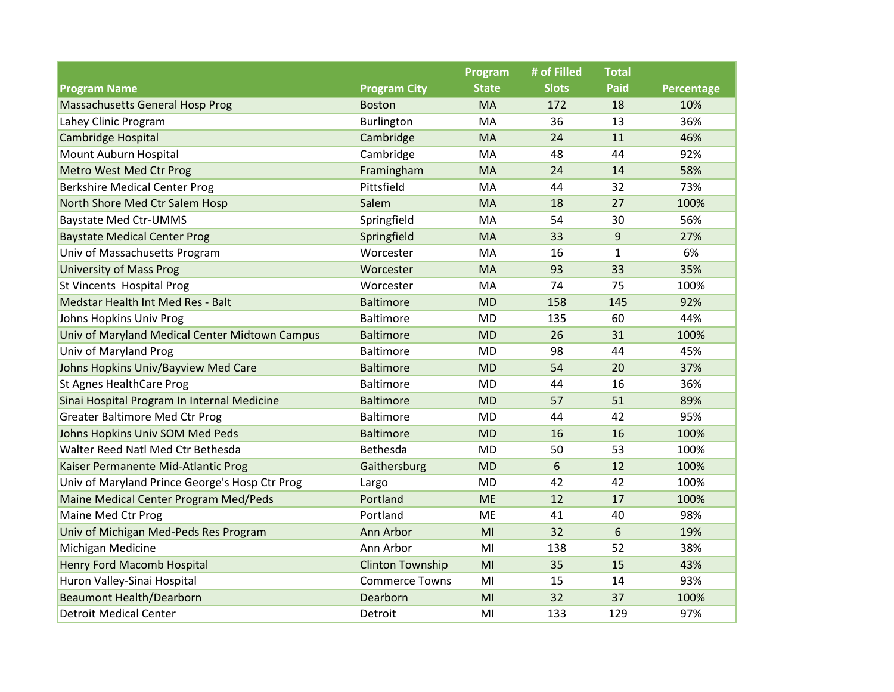|                                                |                         | Program      | # of Filled  | <b>Total</b> |            |
|------------------------------------------------|-------------------------|--------------|--------------|--------------|------------|
| <b>Program Name</b>                            | <b>Program City</b>     | <b>State</b> | <b>Slots</b> | <b>Paid</b>  | Percentage |
| <b>Massachusetts General Hosp Prog</b>         | <b>Boston</b>           | MA           | 172          | 18           | 10%        |
| Lahey Clinic Program                           | Burlington              | MA           | 36           | 13           | 36%        |
| Cambridge Hospital                             | Cambridge               | MA           | 24           | 11           | 46%        |
| Mount Auburn Hospital                          | Cambridge               | MA           | 48           | 44           | 92%        |
| Metro West Med Ctr Prog                        | Framingham              | MA           | 24           | 14           | 58%        |
| <b>Berkshire Medical Center Prog</b>           | Pittsfield              | MA           | 44           | 32           | 73%        |
| North Shore Med Ctr Salem Hosp                 | Salem                   | MA           | 18           | 27           | 100%       |
| <b>Baystate Med Ctr-UMMS</b>                   | Springfield             | MA           | 54           | 30           | 56%        |
| <b>Baystate Medical Center Prog</b>            | Springfield             | <b>MA</b>    | 33           | 9            | 27%        |
| Univ of Massachusetts Program                  | Worcester               | MA           | 16           | $\mathbf{1}$ | 6%         |
| <b>University of Mass Prog</b>                 | Worcester               | MA           | 93           | 33           | 35%        |
| St Vincents Hospital Prog                      | Worcester               | MA           | 74           | 75           | 100%       |
| Medstar Health Int Med Res - Balt              | <b>Baltimore</b>        | <b>MD</b>    | 158          | 145          | 92%        |
| Johns Hopkins Univ Prog                        | Baltimore               | <b>MD</b>    | 135          | 60           | 44%        |
| Univ of Maryland Medical Center Midtown Campus | <b>Baltimore</b>        | <b>MD</b>    | 26           | 31           | 100%       |
| Univ of Maryland Prog                          | <b>Baltimore</b>        | <b>MD</b>    | 98           | 44           | 45%        |
| Johns Hopkins Univ/Bayview Med Care            | <b>Baltimore</b>        | <b>MD</b>    | 54           | 20           | 37%        |
| St Agnes HealthCare Prog                       | <b>Baltimore</b>        | <b>MD</b>    | 44           | 16           | 36%        |
| Sinai Hospital Program In Internal Medicine    | <b>Baltimore</b>        | <b>MD</b>    | 57           | 51           | 89%        |
| <b>Greater Baltimore Med Ctr Prog</b>          | <b>Baltimore</b>        | <b>MD</b>    | 44           | 42           | 95%        |
| Johns Hopkins Univ SOM Med Peds                | <b>Baltimore</b>        | <b>MD</b>    | 16           | 16           | 100%       |
| Walter Reed Natl Med Ctr Bethesda              | Bethesda                | MD           | 50           | 53           | 100%       |
| Kaiser Permanente Mid-Atlantic Prog            | Gaithersburg            | <b>MD</b>    | 6            | 12           | 100%       |
| Univ of Maryland Prince George's Hosp Ctr Prog | Largo                   | <b>MD</b>    | 42           | 42           | 100%       |
| Maine Medical Center Program Med/Peds          | Portland                | <b>ME</b>    | 12           | 17           | 100%       |
| Maine Med Ctr Prog                             | Portland                | <b>ME</b>    | 41           | 40           | 98%        |
| Univ of Michigan Med-Peds Res Program          | Ann Arbor               | MI           | 32           | 6            | 19%        |
| Michigan Medicine                              | Ann Arbor               | MI           | 138          | 52           | 38%        |
| Henry Ford Macomb Hospital                     | <b>Clinton Township</b> | MI           | 35           | 15           | 43%        |
| Huron Valley-Sinai Hospital                    | <b>Commerce Towns</b>   | MI           | 15           | 14           | 93%        |
| <b>Beaumont Health/Dearborn</b>                | Dearborn                | MI           | 32           | 37           | 100%       |
| <b>Detroit Medical Center</b>                  | Detroit                 | MI           | 133          | 129          | 97%        |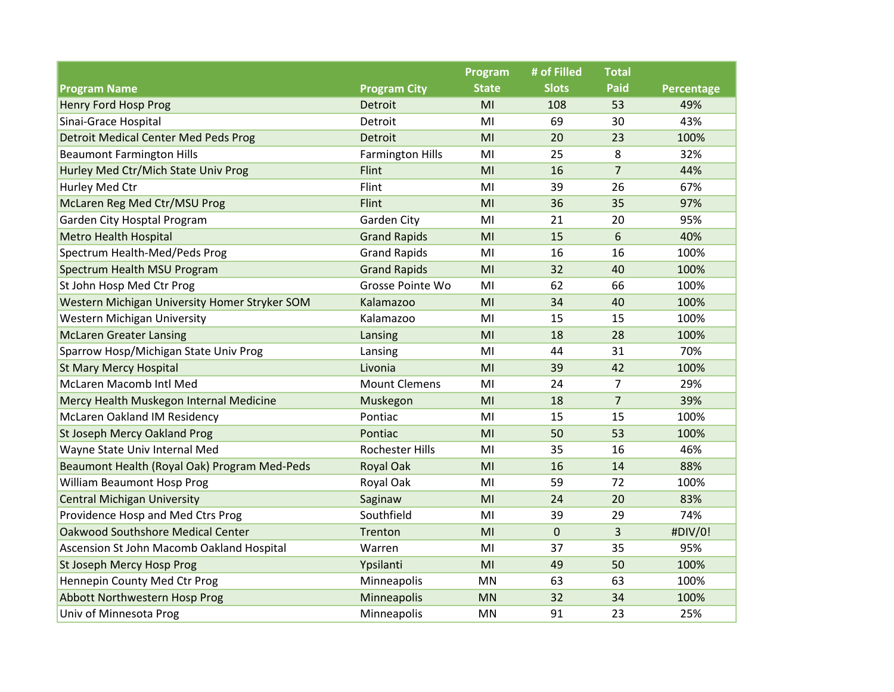|                                               |                         | Program        | # of Filled  | <b>Total</b>   |            |
|-----------------------------------------------|-------------------------|----------------|--------------|----------------|------------|
| <b>Program Name</b>                           | <b>Program City</b>     | <b>State</b>   | <b>Slots</b> | <b>Paid</b>    | Percentage |
| <b>Henry Ford Hosp Prog</b>                   | Detroit                 | MI             | 108          | 53             | 49%        |
| Sinai-Grace Hospital                          | Detroit                 | MI             | 69           | 30             | 43%        |
| <b>Detroit Medical Center Med Peds Prog</b>   | Detroit                 | MI             | 20           | 23             | 100%       |
| <b>Beaumont Farmington Hills</b>              | <b>Farmington Hills</b> | MI             | 25           | 8              | 32%        |
| Hurley Med Ctr/Mich State Univ Prog           | Flint                   | MI             | 16           | $\overline{7}$ | 44%        |
| Hurley Med Ctr                                | Flint                   | MI             | 39           | 26             | 67%        |
| McLaren Reg Med Ctr/MSU Prog                  | Flint                   | MI             | 36           | 35             | 97%        |
| Garden City Hosptal Program                   | Garden City             | MI             | 21           | 20             | 95%        |
| <b>Metro Health Hospital</b>                  | <b>Grand Rapids</b>     | MI             | 15           | 6              | 40%        |
| Spectrum Health-Med/Peds Prog                 | <b>Grand Rapids</b>     | MI             | 16           | 16             | 100%       |
| Spectrum Health MSU Program                   | <b>Grand Rapids</b>     | M <sub>l</sub> | 32           | 40             | 100%       |
| St John Hosp Med Ctr Prog                     | Grosse Pointe Wo        | MI             | 62           | 66             | 100%       |
| Western Michigan University Homer Stryker SOM | Kalamazoo               | MI             | 34           | 40             | 100%       |
| <b>Western Michigan University</b>            | Kalamazoo               | MI             | 15           | 15             | 100%       |
| <b>McLaren Greater Lansing</b>                | Lansing                 | MI             | 18           | 28             | 100%       |
| Sparrow Hosp/Michigan State Univ Prog         | Lansing                 | MI             | 44           | 31             | 70%        |
| <b>St Mary Mercy Hospital</b>                 | Livonia                 | MI             | 39           | 42             | 100%       |
| McLaren Macomb Intl Med                       | <b>Mount Clemens</b>    | MI             | 24           | $\overline{7}$ | 29%        |
| Mercy Health Muskegon Internal Medicine       | Muskegon                | MI             | 18           | $\overline{7}$ | 39%        |
| McLaren Oakland IM Residency                  | Pontiac                 | MI             | 15           | 15             | 100%       |
| St Joseph Mercy Oakland Prog                  | Pontiac                 | MI             | 50           | 53             | 100%       |
| Wayne State Univ Internal Med                 | <b>Rochester Hills</b>  | MI             | 35           | 16             | 46%        |
| Beaumont Health (Royal Oak) Program Med-Peds  | <b>Royal Oak</b>        | MI             | 16           | 14             | 88%        |
| William Beaumont Hosp Prog                    | Royal Oak               | MI             | 59           | 72             | 100%       |
| <b>Central Michigan University</b>            | Saginaw                 | MI             | 24           | 20             | 83%        |
| Providence Hosp and Med Ctrs Prog             | Southfield              | MI             | 39           | 29             | 74%        |
| Oakwood Southshore Medical Center             | Trenton                 | MI             | $\pmb{0}$    | $\overline{3}$ | #DIV/0!    |
| Ascension St John Macomb Oakland Hospital     | Warren                  | MI             | 37           | 35             | 95%        |
| St Joseph Mercy Hosp Prog                     | Ypsilanti               | MI             | 49           | 50             | 100%       |
| Hennepin County Med Ctr Prog                  | Minneapolis             | <b>MN</b>      | 63           | 63             | 100%       |
| Abbott Northwestern Hosp Prog                 | Minneapolis             | <b>MN</b>      | 32           | 34             | 100%       |
| Univ of Minnesota Prog                        | Minneapolis             | <b>MN</b>      | 91           | 23             | 25%        |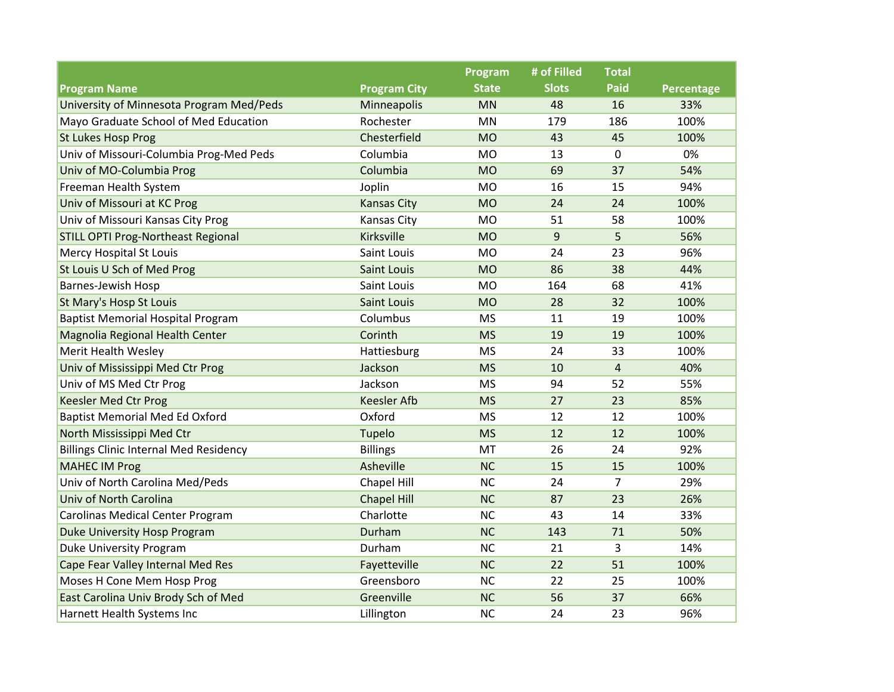|                                               |                     | Program      | # of Filled  | <b>Total</b>   |            |
|-----------------------------------------------|---------------------|--------------|--------------|----------------|------------|
| <b>Program Name</b>                           | <b>Program City</b> | <b>State</b> | <b>Slots</b> | <b>Paid</b>    | Percentage |
| University of Minnesota Program Med/Peds      | Minneapolis         | <b>MN</b>    | 48           | 16             | 33%        |
| Mayo Graduate School of Med Education         | Rochester           | <b>MN</b>    | 179          | 186            | 100%       |
| <b>St Lukes Hosp Prog</b>                     | Chesterfield        | <b>MO</b>    | 43           | 45             | 100%       |
| Univ of Missouri-Columbia Prog-Med Peds       | Columbia            | <b>MO</b>    | 13           | $\mathbf 0$    | 0%         |
| Univ of MO-Columbia Prog                      | Columbia            | <b>MO</b>    | 69           | 37             | 54%        |
| Freeman Health System                         | Joplin              | <b>MO</b>    | 16           | 15             | 94%        |
| Univ of Missouri at KC Prog                   | <b>Kansas City</b>  | <b>MO</b>    | 24           | 24             | 100%       |
| Univ of Missouri Kansas City Prog             | Kansas City         | <b>MO</b>    | 51           | 58             | 100%       |
| <b>STILL OPTI Prog-Northeast Regional</b>     | Kirksville          | <b>MO</b>    | 9            | 5              | 56%        |
| <b>Mercy Hospital St Louis</b>                | Saint Louis         | <b>MO</b>    | 24           | 23             | 96%        |
| St Louis U Sch of Med Prog                    | <b>Saint Louis</b>  | <b>MO</b>    | 86           | 38             | 44%        |
| Barnes-Jewish Hosp                            | Saint Louis         | <b>MO</b>    | 164          | 68             | 41%        |
| St Mary's Hosp St Louis                       | <b>Saint Louis</b>  | <b>MO</b>    | 28           | 32             | 100%       |
| <b>Baptist Memorial Hospital Program</b>      | Columbus            | <b>MS</b>    | 11           | 19             | 100%       |
| Magnolia Regional Health Center               | Corinth             | <b>MS</b>    | 19           | 19             | 100%       |
| Merit Health Wesley                           | Hattiesburg         | <b>MS</b>    | 24           | 33             | 100%       |
| Univ of Mississippi Med Ctr Prog              | Jackson             | <b>MS</b>    | 10           | $\overline{4}$ | 40%        |
| Univ of MS Med Ctr Prog                       | Jackson             | <b>MS</b>    | 94           | 52             | 55%        |
| <b>Keesler Med Ctr Prog</b>                   | <b>Keesler Afb</b>  | <b>MS</b>    | 27           | 23             | 85%        |
| <b>Baptist Memorial Med Ed Oxford</b>         | Oxford              | <b>MS</b>    | 12           | 12             | 100%       |
| North Mississippi Med Ctr                     | Tupelo              | <b>MS</b>    | 12           | 12             | 100%       |
| <b>Billings Clinic Internal Med Residency</b> | <b>Billings</b>     | MT           | 26           | 24             | 92%        |
| <b>MAHEC IM Prog</b>                          | Asheville           | <b>NC</b>    | 15           | 15             | 100%       |
| Univ of North Carolina Med/Peds               | Chapel Hill         | <b>NC</b>    | 24           | 7              | 29%        |
| Univ of North Carolina                        | <b>Chapel Hill</b>  | <b>NC</b>    | 87           | 23             | 26%        |
| <b>Carolinas Medical Center Program</b>       | Charlotte           | <b>NC</b>    | 43           | 14             | 33%        |
| Duke University Hosp Program                  | Durham              | <b>NC</b>    | 143          | 71             | 50%        |
| <b>Duke University Program</b>                | Durham              | <b>NC</b>    | 21           | 3              | 14%        |
| Cape Fear Valley Internal Med Res             | Fayetteville        | <b>NC</b>    | 22           | 51             | 100%       |
| Moses H Cone Mem Hosp Prog                    | Greensboro          | <b>NC</b>    | 22           | 25             | 100%       |
| East Carolina Univ Brody Sch of Med           | Greenville          | <b>NC</b>    | 56           | 37             | 66%        |
| Harnett Health Systems Inc                    | Lillington          | <b>NC</b>    | 24           | 23             | 96%        |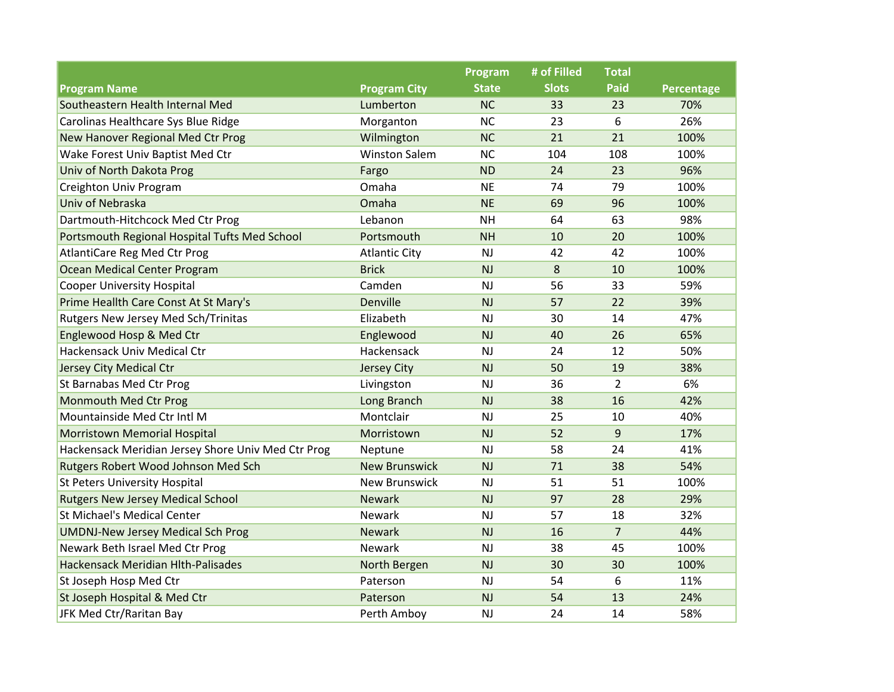|                                                    |                      | Program      | # of Filled  | <b>Total</b>   |            |
|----------------------------------------------------|----------------------|--------------|--------------|----------------|------------|
| <b>Program Name</b>                                | <b>Program City</b>  | <b>State</b> | <b>Slots</b> | <b>Paid</b>    | Percentage |
| Southeastern Health Internal Med                   | Lumberton            | <b>NC</b>    | 33           | 23             | 70%        |
| Carolinas Healthcare Sys Blue Ridge                | Morganton            | <b>NC</b>    | 23           | 6              | 26%        |
| New Hanover Regional Med Ctr Prog                  | Wilmington           | <b>NC</b>    | 21           | 21             | 100%       |
| Wake Forest Univ Baptist Med Ctr                   | <b>Winston Salem</b> | <b>NC</b>    | 104          | 108            | 100%       |
| Univ of North Dakota Prog                          | Fargo                | <b>ND</b>    | 24           | 23             | 96%        |
| Creighton Univ Program                             | Omaha                | <b>NE</b>    | 74           | 79             | 100%       |
| Univ of Nebraska                                   | Omaha                | <b>NE</b>    | 69           | 96             | 100%       |
| Dartmouth-Hitchcock Med Ctr Prog                   | Lebanon              | <b>NH</b>    | 64           | 63             | 98%        |
| Portsmouth Regional Hospital Tufts Med School      | Portsmouth           | <b>NH</b>    | 10           | 20             | 100%       |
| AtlantiCare Reg Med Ctr Prog                       | <b>Atlantic City</b> | NJ           | 42           | 42             | 100%       |
| Ocean Medical Center Program                       | <b>Brick</b>         | NJ           | 8            | 10             | 100%       |
| <b>Cooper University Hospital</b>                  | Camden               | NJ           | 56           | 33             | 59%        |
| Prime Heallth Care Const At St Mary's              | Denville             | NJ           | 57           | 22             | 39%        |
| Rutgers New Jersey Med Sch/Trinitas                | Elizabeth            | NJ           | 30           | 14             | 47%        |
| Englewood Hosp & Med Ctr                           | Englewood            | <b>NJ</b>    | 40           | 26             | 65%        |
| Hackensack Univ Medical Ctr                        | Hackensack           | NJ           | 24           | 12             | 50%        |
| Jersey City Medical Ctr                            | Jersey City          | NJ           | 50           | 19             | 38%        |
| St Barnabas Med Ctr Prog                           | Livingston           | <b>NJ</b>    | 36           | $\overline{2}$ | 6%         |
| <b>Monmouth Med Ctr Prog</b>                       | Long Branch          | NJ           | 38           | 16             | 42%        |
| Mountainside Med Ctr Intl M                        | Montclair            | <b>NJ</b>    | 25           | 10             | 40%        |
| <b>Morristown Memorial Hospital</b>                | Morristown           | <b>NJ</b>    | 52           | 9              | 17%        |
| Hackensack Meridian Jersey Shore Univ Med Ctr Prog | Neptune              | <b>NJ</b>    | 58           | 24             | 41%        |
| Rutgers Robert Wood Johnson Med Sch                | <b>New Brunswick</b> | NJ           | 71           | 38             | 54%        |
| <b>St Peters University Hospital</b>               | <b>New Brunswick</b> | <b>NJ</b>    | 51           | 51             | 100%       |
| <b>Rutgers New Jersey Medical School</b>           | <b>Newark</b>        | NJ           | 97           | 28             | 29%        |
| <b>St Michael's Medical Center</b>                 | <b>Newark</b>        | <b>NJ</b>    | 57           | 18             | 32%        |
| <b>UMDNJ-New Jersey Medical Sch Prog</b>           | <b>Newark</b>        | NJ           | 16           | $\overline{7}$ | 44%        |
| Newark Beth Israel Med Ctr Prog                    | Newark               | <b>NJ</b>    | 38           | 45             | 100%       |
| Hackensack Meridian Hlth-Palisades                 | North Bergen         | NJ           | 30           | 30             | 100%       |
| St Joseph Hosp Med Ctr                             | Paterson             | NJ           | 54           | 6              | 11%        |
| St Joseph Hospital & Med Ctr                       | Paterson             | NJ           | 54           | 13             | 24%        |
| JFK Med Ctr/Raritan Bay                            | Perth Amboy          | NJ           | 24           | 14             | 58%        |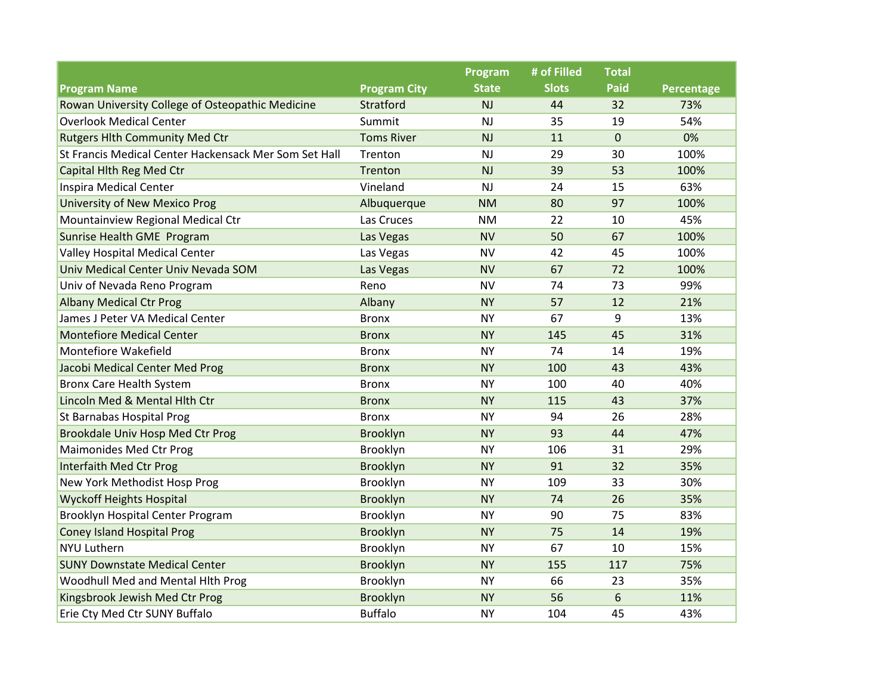|                                                       |                     | Program      | # of Filled  | <b>Total</b> |            |
|-------------------------------------------------------|---------------------|--------------|--------------|--------------|------------|
| <b>Program Name</b>                                   | <b>Program City</b> | <b>State</b> | <b>Slots</b> | Paid         | Percentage |
| Rowan University College of Osteopathic Medicine      | Stratford           | <b>NJ</b>    | 44           | 32           | 73%        |
| <b>Overlook Medical Center</b>                        | Summit              | NJ           | 35           | 19           | 54%        |
| <b>Rutgers Hlth Community Med Ctr</b>                 | <b>Toms River</b>   | NJ           | 11           | $\pmb{0}$    | 0%         |
| St Francis Medical Center Hackensack Mer Som Set Hall | Trenton             | <b>NJ</b>    | 29           | 30           | 100%       |
| Capital Hlth Reg Med Ctr                              | Trenton             | NJ           | 39           | 53           | 100%       |
| <b>Inspira Medical Center</b>                         | Vineland            | NJ           | 24           | 15           | 63%        |
| <b>University of New Mexico Prog</b>                  | Albuquerque         | <b>NM</b>    | 80           | 97           | 100%       |
| Mountainview Regional Medical Ctr                     | Las Cruces          | <b>NM</b>    | 22           | 10           | 45%        |
| Sunrise Health GME Program                            | Las Vegas           | <b>NV</b>    | 50           | 67           | 100%       |
| Valley Hospital Medical Center                        | Las Vegas           | <b>NV</b>    | 42           | 45           | 100%       |
| Univ Medical Center Univ Nevada SOM                   | Las Vegas           | <b>NV</b>    | 67           | 72           | 100%       |
| Univ of Nevada Reno Program                           | Reno                | <b>NV</b>    | 74           | 73           | 99%        |
| <b>Albany Medical Ctr Prog</b>                        | Albany              | <b>NY</b>    | 57           | 12           | 21%        |
| James J Peter VA Medical Center                       | <b>Bronx</b>        | <b>NY</b>    | 67           | 9            | 13%        |
| <b>Montefiore Medical Center</b>                      | <b>Bronx</b>        | <b>NY</b>    | 145          | 45           | 31%        |
| Montefiore Wakefield                                  | <b>Bronx</b>        | <b>NY</b>    | 74           | 14           | 19%        |
| Jacobi Medical Center Med Prog                        | <b>Bronx</b>        | <b>NY</b>    | 100          | 43           | 43%        |
| <b>Bronx Care Health System</b>                       | <b>Bronx</b>        | <b>NY</b>    | 100          | 40           | 40%        |
| Lincoln Med & Mental Hlth Ctr                         | <b>Bronx</b>        | <b>NY</b>    | 115          | 43           | 37%        |
| St Barnabas Hospital Prog                             | <b>Bronx</b>        | <b>NY</b>    | 94           | 26           | 28%        |
| Brookdale Univ Hosp Med Ctr Prog                      | Brooklyn            | <b>NY</b>    | 93           | 44           | 47%        |
| <b>Maimonides Med Ctr Prog</b>                        | Brooklyn            | <b>NY</b>    | 106          | 31           | 29%        |
| Interfaith Med Ctr Prog                               | Brooklyn            | <b>NY</b>    | 91           | 32           | 35%        |
| New York Methodist Hosp Prog                          | Brooklyn            | <b>NY</b>    | 109          | 33           | 30%        |
| <b>Wyckoff Heights Hospital</b>                       | Brooklyn            | <b>NY</b>    | 74           | 26           | 35%        |
| Brooklyn Hospital Center Program                      | Brooklyn            | <b>NY</b>    | 90           | 75           | 83%        |
| <b>Coney Island Hospital Prog</b>                     | Brooklyn            | <b>NY</b>    | 75           | 14           | 19%        |
| <b>NYU Luthern</b>                                    | Brooklyn            | <b>NY</b>    | 67           | 10           | 15%        |
| <b>SUNY Downstate Medical Center</b>                  | Brooklyn            | <b>NY</b>    | 155          | 117          | 75%        |
| Woodhull Med and Mental Hith Prog                     | Brooklyn            | <b>NY</b>    | 66           | 23           | 35%        |
| Kingsbrook Jewish Med Ctr Prog                        | Brooklyn            | <b>NY</b>    | 56           | 6            | 11%        |
| Erie Cty Med Ctr SUNY Buffalo                         | <b>Buffalo</b>      | <b>NY</b>    | 104          | 45           | 43%        |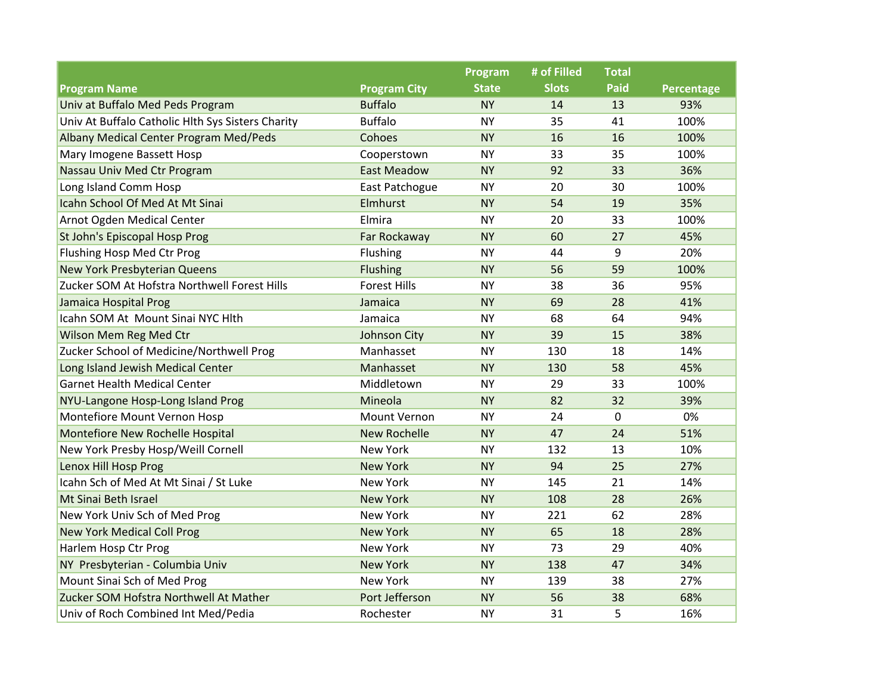|                                                   |                     | Program      | # of Filled  | <b>Total</b> |            |
|---------------------------------------------------|---------------------|--------------|--------------|--------------|------------|
| <b>Program Name</b>                               | <b>Program City</b> | <b>State</b> | <b>Slots</b> | Paid         | Percentage |
| Univ at Buffalo Med Peds Program                  | <b>Buffalo</b>      | <b>NY</b>    | 14           | 13           | 93%        |
| Univ At Buffalo Catholic Hlth Sys Sisters Charity | <b>Buffalo</b>      | <b>NY</b>    | 35           | 41           | 100%       |
| Albany Medical Center Program Med/Peds            | Cohoes              | <b>NY</b>    | 16           | 16           | 100%       |
| Mary Imogene Bassett Hosp                         | Cooperstown         | <b>NY</b>    | 33           | 35           | 100%       |
| Nassau Univ Med Ctr Program                       | <b>East Meadow</b>  | <b>NY</b>    | 92           | 33           | 36%        |
| Long Island Comm Hosp                             | East Patchogue      | <b>NY</b>    | 20           | 30           | 100%       |
| Icahn School Of Med At Mt Sinai                   | <b>Elmhurst</b>     | <b>NY</b>    | 54           | 19           | 35%        |
| Arnot Ogden Medical Center                        | Elmira              | <b>NY</b>    | 20           | 33           | 100%       |
| St John's Episcopal Hosp Prog                     | Far Rockaway        | <b>NY</b>    | 60           | 27           | 45%        |
| Flushing Hosp Med Ctr Prog                        | Flushing            | <b>NY</b>    | 44           | 9            | 20%        |
| <b>New York Presbyterian Queens</b>               | <b>Flushing</b>     | <b>NY</b>    | 56           | 59           | 100%       |
| Zucker SOM At Hofstra Northwell Forest Hills      | <b>Forest Hills</b> | <b>NY</b>    | 38           | 36           | 95%        |
| Jamaica Hospital Prog                             | Jamaica             | <b>NY</b>    | 69           | 28           | 41%        |
| Icahn SOM At Mount Sinai NYC Hlth                 | Jamaica             | <b>NY</b>    | 68           | 64           | 94%        |
| Wilson Mem Reg Med Ctr                            | Johnson City        | <b>NY</b>    | 39           | 15           | 38%        |
| Zucker School of Medicine/Northwell Prog          | Manhasset           | <b>NY</b>    | 130          | 18           | 14%        |
| Long Island Jewish Medical Center                 | Manhasset           | <b>NY</b>    | 130          | 58           | 45%        |
| <b>Garnet Health Medical Center</b>               | Middletown          | <b>NY</b>    | 29           | 33           | 100%       |
| NYU-Langone Hosp-Long Island Prog                 | Mineola             | <b>NY</b>    | 82           | 32           | 39%        |
| Montefiore Mount Vernon Hosp                      | Mount Vernon        | <b>NY</b>    | 24           | 0            | 0%         |
| Montefiore New Rochelle Hospital                  | <b>New Rochelle</b> | <b>NY</b>    | 47           | 24           | 51%        |
| New York Presby Hosp/Weill Cornell                | <b>New York</b>     | <b>NY</b>    | 132          | 13           | 10%        |
| Lenox Hill Hosp Prog                              | <b>New York</b>     | <b>NY</b>    | 94           | 25           | 27%        |
| Icahn Sch of Med At Mt Sinai / St Luke            | <b>New York</b>     | <b>NY</b>    | 145          | 21           | 14%        |
| Mt Sinai Beth Israel                              | <b>New York</b>     | <b>NY</b>    | 108          | 28           | 26%        |
| New York Univ Sch of Med Prog                     | <b>New York</b>     | <b>NY</b>    | 221          | 62           | 28%        |
| <b>New York Medical Coll Prog</b>                 | <b>New York</b>     | <b>NY</b>    | 65           | 18           | 28%        |
| Harlem Hosp Ctr Prog                              | <b>New York</b>     | <b>NY</b>    | 73           | 29           | 40%        |
| NY Presbyterian - Columbia Univ                   | <b>New York</b>     | <b>NY</b>    | 138          | 47           | 34%        |
| Mount Sinai Sch of Med Prog                       | New York            | <b>NY</b>    | 139          | 38           | 27%        |
| Zucker SOM Hofstra Northwell At Mather            | Port Jefferson      | <b>NY</b>    | 56           | 38           | 68%        |
| Univ of Roch Combined Int Med/Pedia               | Rochester           | <b>NY</b>    | 31           | 5            | 16%        |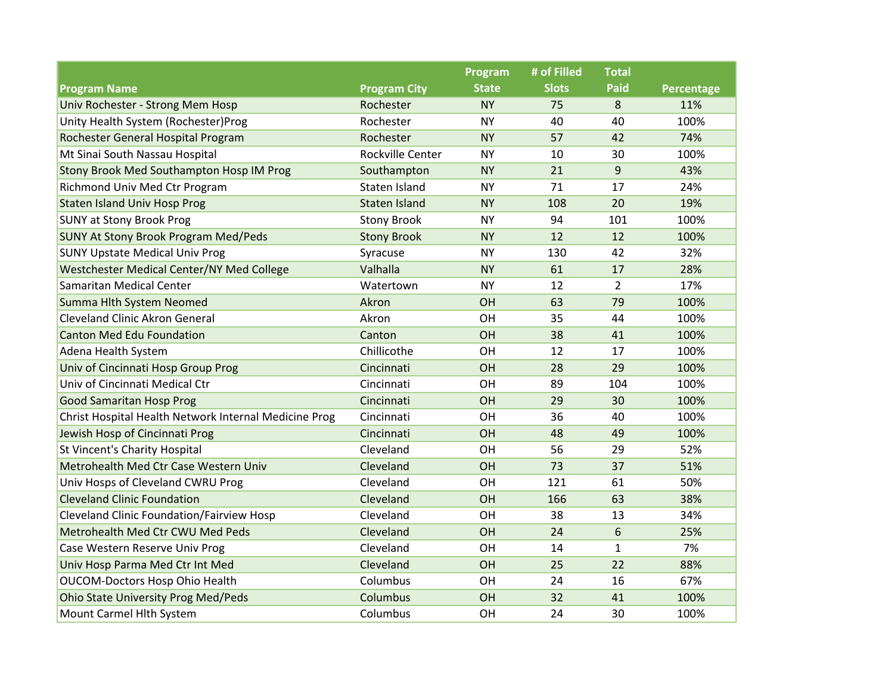|                                                       |                      | Program      | # of Filled  | <b>Total</b>   |            |
|-------------------------------------------------------|----------------------|--------------|--------------|----------------|------------|
| <b>Program Name</b>                                   | <b>Program City</b>  | <b>State</b> | <b>Slots</b> | <b>Paid</b>    | Percentage |
| Univ Rochester - Strong Mem Hosp                      | Rochester            | <b>NY</b>    | 75           | 8              | 11%        |
| Unity Health System (Rochester)Prog                   | Rochester            | <b>NY</b>    | 40           | 40             | 100%       |
| Rochester General Hospital Program                    | Rochester            | <b>NY</b>    | 57           | 42             | 74%        |
| Mt Sinai South Nassau Hospital                        | Rockville Center     | <b>NY</b>    | 10           | 30             | 100%       |
| Stony Brook Med Southampton Hosp IM Prog              | Southampton          | <b>NY</b>    | 21           | 9              | 43%        |
| Richmond Univ Med Ctr Program                         | Staten Island        | <b>NY</b>    | 71           | 17             | 24%        |
| <b>Staten Island Univ Hosp Prog</b>                   | <b>Staten Island</b> | <b>NY</b>    | 108          | 20             | 19%        |
| <b>SUNY at Stony Brook Prog</b>                       | <b>Stony Brook</b>   | <b>NY</b>    | 94           | 101            | 100%       |
| <b>SUNY At Stony Brook Program Med/Peds</b>           | <b>Stony Brook</b>   | <b>NY</b>    | 12           | 12             | 100%       |
| <b>SUNY Upstate Medical Univ Prog</b>                 | Syracuse             | <b>NY</b>    | 130          | 42             | 32%        |
| Westchester Medical Center/NY Med College             | Valhalla             | <b>NY</b>    | 61           | 17             | 28%        |
| Samaritan Medical Center                              | Watertown            | <b>NY</b>    | 12           | $\overline{2}$ | 17%        |
| Summa Hlth System Neomed                              | Akron                | OH           | 63           | 79             | 100%       |
| Cleveland Clinic Akron General                        | Akron                | OH           | 35           | 44             | 100%       |
| <b>Canton Med Edu Foundation</b>                      | Canton               | OH           | 38           | 41             | 100%       |
| Adena Health System                                   | Chillicothe          | OH           | 12           | 17             | 100%       |
| Univ of Cincinnati Hosp Group Prog                    | Cincinnati           | OH           | 28           | 29             | 100%       |
| Univ of Cincinnati Medical Ctr                        | Cincinnati           | OH           | 89           | 104            | 100%       |
| <b>Good Samaritan Hosp Prog</b>                       | Cincinnati           | <b>OH</b>    | 29           | 30             | 100%       |
| Christ Hospital Health Network Internal Medicine Prog | Cincinnati           | OH           | 36           | 40             | 100%       |
| Jewish Hosp of Cincinnati Prog                        | Cincinnati           | OH           | 48           | 49             | 100%       |
| St Vincent's Charity Hospital                         | Cleveland            | OH           | 56           | 29             | 52%        |
| Metrohealth Med Ctr Case Western Univ                 | Cleveland            | OH           | 73           | 37             | 51%        |
| Univ Hosps of Cleveland CWRU Prog                     | Cleveland            | OH           | 121          | 61             | 50%        |
| <b>Cleveland Clinic Foundation</b>                    | Cleveland            | OH           | 166          | 63             | 38%        |
| <b>Cleveland Clinic Foundation/Fairview Hosp</b>      | Cleveland            | OH           | 38           | 13             | 34%        |
| Metrohealth Med Ctr CWU Med Peds                      | Cleveland            | OH           | 24           | 6              | 25%        |
| Case Western Reserve Univ Prog                        | Cleveland            | OH           | 14           | $\mathbf{1}$   | 7%         |
| Univ Hosp Parma Med Ctr Int Med                       | Cleveland            | OH           | 25           | 22             | 88%        |
| OUCOM-Doctors Hosp Ohio Health                        | Columbus             | OH           | 24           | 16             | 67%        |
| <b>Ohio State University Prog Med/Peds</b>            | Columbus             | OH           | 32           | 41             | 100%       |
| Mount Carmel Hlth System                              | Columbus             | OH           | 24           | 30             | 100%       |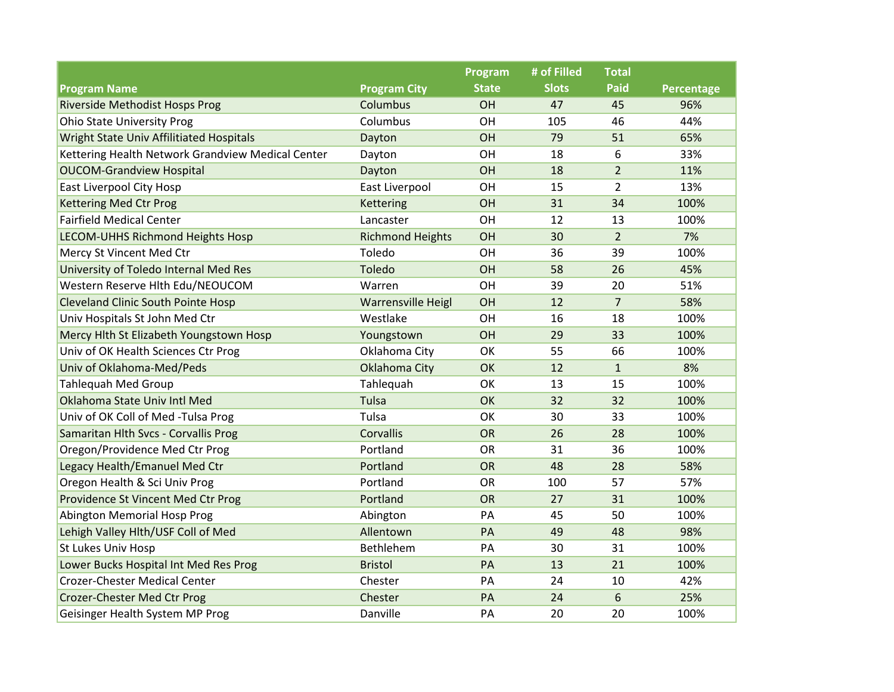|                                                   |                         | Program      | # of Filled  | <b>Total</b>   |            |
|---------------------------------------------------|-------------------------|--------------|--------------|----------------|------------|
| <b>Program Name</b>                               | <b>Program City</b>     | <b>State</b> | <b>Slots</b> | <b>Paid</b>    | Percentage |
| <b>Riverside Methodist Hosps Prog</b>             | Columbus                | OH           | 47           | 45             | 96%        |
| <b>Ohio State University Prog</b>                 | Columbus                | OH           | 105          | 46             | 44%        |
| Wright State Univ Affilitiated Hospitals          | Dayton                  | OH           | 79           | 51             | 65%        |
| Kettering Health Network Grandview Medical Center | Dayton                  | OH           | 18           | 6              | 33%        |
| <b>OUCOM-Grandview Hospital</b>                   | Dayton                  | OH           | 18           | $\overline{2}$ | 11%        |
| East Liverpool City Hosp                          | East Liverpool          | OH           | 15           | $\overline{2}$ | 13%        |
| <b>Kettering Med Ctr Prog</b>                     | Kettering               | OH           | 31           | 34             | 100%       |
| <b>Fairfield Medical Center</b>                   | Lancaster               | OH           | 12           | 13             | 100%       |
| LECOM-UHHS Richmond Heights Hosp                  | <b>Richmond Heights</b> | OH           | 30           | $\overline{2}$ | 7%         |
| Mercy St Vincent Med Ctr                          | Toledo                  | OH           | 36           | 39             | 100%       |
| University of Toledo Internal Med Res             | Toledo                  | OH           | 58           | 26             | 45%        |
| Western Reserve Hlth Edu/NEOUCOM                  | Warren                  | OH           | 39           | 20             | 51%        |
| <b>Cleveland Clinic South Pointe Hosp</b>         | Warrensville Heigl      | OH           | 12           | $\overline{7}$ | 58%        |
| Univ Hospitals St John Med Ctr                    | Westlake                | OH           | 16           | 18             | 100%       |
| Mercy Hith St Elizabeth Youngstown Hosp           | Youngstown              | OH           | 29           | 33             | 100%       |
| Univ of OK Health Sciences Ctr Prog               | Oklahoma City           | OK           | 55           | 66             | 100%       |
| Univ of Oklahoma-Med/Peds                         | Oklahoma City           | OK           | 12           | $\mathbf{1}$   | 8%         |
| <b>Tahlequah Med Group</b>                        | Tahlequah               | OK           | 13           | 15             | 100%       |
| Oklahoma State Univ Intl Med                      | Tulsa                   | OK           | 32           | 32             | 100%       |
| Univ of OK Coll of Med -Tulsa Prog                | Tulsa                   | OK           | 30           | 33             | 100%       |
| Samaritan Hlth Svcs - Corvallis Prog              | Corvallis               | <b>OR</b>    | 26           | 28             | 100%       |
| Oregon/Providence Med Ctr Prog                    | Portland                | OR           | 31           | 36             | 100%       |
| Legacy Health/Emanuel Med Ctr                     | Portland                | OR           | 48           | 28             | 58%        |
| Oregon Health & Sci Univ Prog                     | Portland                | <b>OR</b>    | 100          | 57             | 57%        |
| Providence St Vincent Med Ctr Prog                | Portland                | <b>OR</b>    | 27           | 31             | 100%       |
| Abington Memorial Hosp Prog                       | Abington                | PA           | 45           | 50             | 100%       |
| Lehigh Valley Hlth/USF Coll of Med                | Allentown               | PA           | 49           | 48             | 98%        |
| St Lukes Univ Hosp                                | Bethlehem               | PA           | 30           | 31             | 100%       |
| Lower Bucks Hospital Int Med Res Prog             | <b>Bristol</b>          | PA           | 13           | 21             | 100%       |
| <b>Crozer-Chester Medical Center</b>              | Chester                 | PA           | 24           | 10             | 42%        |
| Crozer-Chester Med Ctr Prog                       | Chester                 | PA           | 24           | 6              | 25%        |
| Geisinger Health System MP Prog                   | Danville                | PA           | 20           | 20             | 100%       |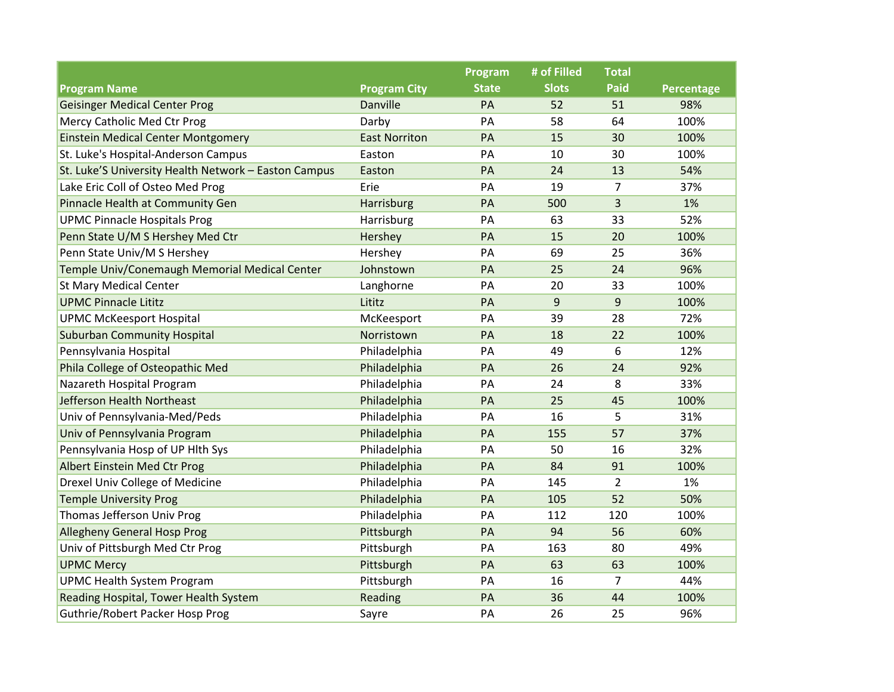|                                                      |                      | <b>Program</b> | # of Filled  | <b>Total</b>   |                   |
|------------------------------------------------------|----------------------|----------------|--------------|----------------|-------------------|
| <b>Program Name</b>                                  | <b>Program City</b>  | <b>State</b>   | <b>Slots</b> | <b>Paid</b>    | <b>Percentage</b> |
| <b>Geisinger Medical Center Prog</b>                 | Danville             | PA             | 52           | 51             | 98%               |
| Mercy Catholic Med Ctr Prog                          | Darby                | PA             | 58           | 64             | 100%              |
| <b>Einstein Medical Center Montgomery</b>            | <b>East Norriton</b> | PA             | 15           | 30             | 100%              |
| St. Luke's Hospital-Anderson Campus                  | Easton               | PA             | 10           | 30             | 100%              |
| St. Luke'S University Health Network - Easton Campus | Easton               | PA             | 24           | 13             | 54%               |
| Lake Eric Coll of Osteo Med Prog                     | Erie                 | PA             | 19           | $\overline{7}$ | 37%               |
| Pinnacle Health at Community Gen                     | Harrisburg           | PA             | 500          | 3              | 1%                |
| <b>UPMC Pinnacle Hospitals Prog</b>                  | Harrisburg           | PA             | 63           | 33             | 52%               |
| Penn State U/M S Hershey Med Ctr                     | Hershey              | PA             | 15           | 20             | 100%              |
| Penn State Univ/M S Hershey                          | Hershey              | PA             | 69           | 25             | 36%               |
| Temple Univ/Conemaugh Memorial Medical Center        | Johnstown            | PA             | 25           | 24             | 96%               |
| <b>St Mary Medical Center</b>                        | Langhorne            | PA             | 20           | 33             | 100%              |
| <b>UPMC Pinnacle Lititz</b>                          | Lititz               | PA             | 9            | 9              | 100%              |
| <b>UPMC McKeesport Hospital</b>                      | McKeesport           | PA             | 39           | 28             | 72%               |
| <b>Suburban Community Hospital</b>                   | Norristown           | PA             | 18           | 22             | 100%              |
| Pennsylvania Hospital                                | Philadelphia         | PA             | 49           | 6              | 12%               |
| Phila College of Osteopathic Med                     | Philadelphia         | PA             | 26           | 24             | 92%               |
| Nazareth Hospital Program                            | Philadelphia         | PA             | 24           | 8              | 33%               |
| Jefferson Health Northeast                           | Philadelphia         | PA             | 25           | 45             | 100%              |
| Univ of Pennsylvania-Med/Peds                        | Philadelphia         | PA             | 16           | 5              | 31%               |
| Univ of Pennsylvania Program                         | Philadelphia         | PA             | 155          | 57             | 37%               |
| Pennsylvania Hosp of UP Hlth Sys                     | Philadelphia         | PA             | 50           | 16             | 32%               |
| Albert Einstein Med Ctr Prog                         | Philadelphia         | PA             | 84           | 91             | 100%              |
| Drexel Univ College of Medicine                      | Philadelphia         | PA             | 145          | $\overline{2}$ | 1%                |
| <b>Temple University Prog</b>                        | Philadelphia         | PA             | 105          | 52             | 50%               |
| Thomas Jefferson Univ Prog                           | Philadelphia         | PA             | 112          | 120            | 100%              |
| <b>Allegheny General Hosp Prog</b>                   | Pittsburgh           | PA             | 94           | 56             | 60%               |
| Univ of Pittsburgh Med Ctr Prog                      | Pittsburgh           | PA             | 163          | 80             | 49%               |
| <b>UPMC Mercy</b>                                    | Pittsburgh           | PA             | 63           | 63             | 100%              |
| <b>UPMC Health System Program</b>                    | Pittsburgh           | PA             | 16           | $\overline{7}$ | 44%               |
| Reading Hospital, Tower Health System                | Reading              | PA             | 36           | 44             | 100%              |
| Guthrie/Robert Packer Hosp Prog                      | Sayre                | PA             | 26           | 25             | 96%               |
|                                                      |                      |                |              |                |                   |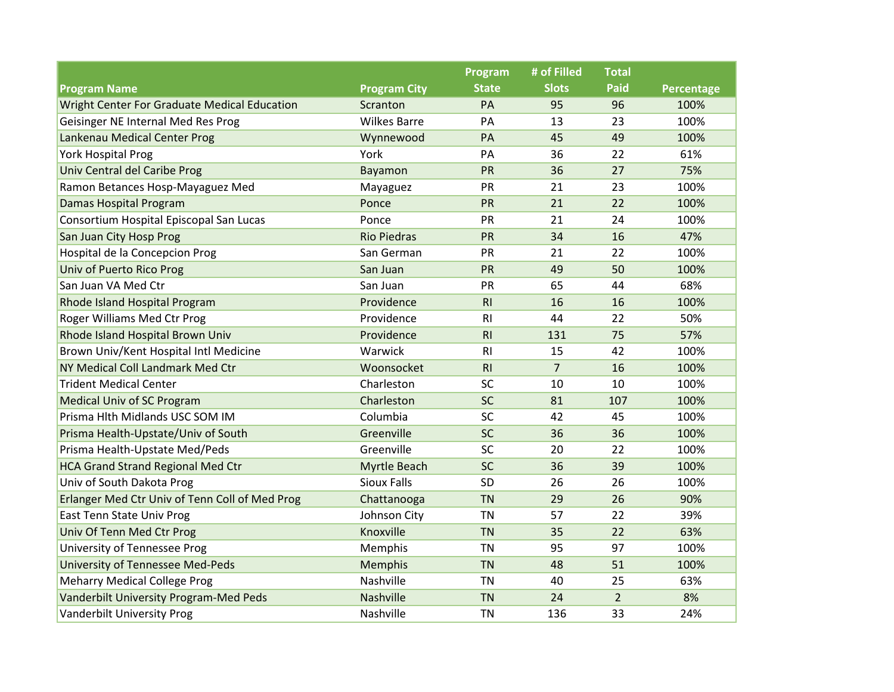|                                                |                     | Program        | # of Filled    | <b>Total</b>   |            |
|------------------------------------------------|---------------------|----------------|----------------|----------------|------------|
| <b>Program Name</b>                            | <b>Program City</b> | <b>State</b>   | <b>Slots</b>   | <b>Paid</b>    | Percentage |
| Wright Center For Graduate Medical Education   | Scranton            | PA             | 95             | 96             | 100%       |
| Geisinger NE Internal Med Res Prog             | <b>Wilkes Barre</b> | PA             | 13             | 23             | 100%       |
| Lankenau Medical Center Prog                   | Wynnewood           | PA             | 45             | 49             | 100%       |
| York Hospital Prog                             | York                | PA             | 36             | 22             | 61%        |
| Univ Central del Caribe Prog                   | Bayamon             | PR             | 36             | 27             | 75%        |
| Ramon Betances Hosp-Mayaguez Med               | Mayaguez            | PR             | 21             | 23             | 100%       |
| Damas Hospital Program                         | Ponce               | PR             | 21             | 22             | 100%       |
| Consortium Hospital Episcopal San Lucas        | Ponce               | PR             | 21             | 24             | 100%       |
| San Juan City Hosp Prog                        | <b>Rio Piedras</b>  | PR             | 34             | 16             | 47%        |
| Hospital de la Concepcion Prog                 | San German          | PR             | 21             | 22             | 100%       |
| Univ of Puerto Rico Prog                       | San Juan            | PR             | 49             | 50             | 100%       |
| San Juan VA Med Ctr                            | San Juan            | PR             | 65             | 44             | 68%        |
| Rhode Island Hospital Program                  | Providence          | RI             | 16             | 16             | 100%       |
| Roger Williams Med Ctr Prog                    | Providence          | R <sub>l</sub> | 44             | 22             | 50%        |
| Rhode Island Hospital Brown Univ               | Providence          | R1             | 131            | 75             | 57%        |
| Brown Univ/Kent Hospital Intl Medicine         | Warwick             | R <sub>l</sub> | 15             | 42             | 100%       |
| NY Medical Coll Landmark Med Ctr               | Woonsocket          | RI             | $\overline{7}$ | 16             | 100%       |
| <b>Trident Medical Center</b>                  | Charleston          | SC             | 10             | 10             | 100%       |
| <b>Medical Univ of SC Program</b>              | Charleston          | <b>SC</b>      | 81             | 107            | 100%       |
| Prisma Hlth Midlands USC SOM IM                | Columbia            | <b>SC</b>      | 42             | 45             | 100%       |
| Prisma Health-Upstate/Univ of South            | Greenville          | <b>SC</b>      | 36             | 36             | 100%       |
| Prisma Health-Upstate Med/Peds                 | Greenville          | SC             | 20             | 22             | 100%       |
| <b>HCA Grand Strand Regional Med Ctr</b>       | <b>Myrtle Beach</b> | <b>SC</b>      | 36             | 39             | 100%       |
| Univ of South Dakota Prog                      | <b>Sioux Falls</b>  | SD             | 26             | 26             | 100%       |
| Erlanger Med Ctr Univ of Tenn Coll of Med Prog | Chattanooga         | <b>TN</b>      | 29             | 26             | 90%        |
| East Tenn State Univ Prog                      | Johnson City        | <b>TN</b>      | 57             | 22             | 39%        |
| Univ Of Tenn Med Ctr Prog                      | Knoxville           | <b>TN</b>      | 35             | 22             | 63%        |
| University of Tennessee Prog                   | Memphis             | <b>TN</b>      | 95             | 97             | 100%       |
| <b>University of Tennessee Med-Peds</b>        | Memphis             | <b>TN</b>      | 48             | 51             | 100%       |
| <b>Meharry Medical College Prog</b>            | Nashville           | <b>TN</b>      | 40             | 25             | 63%        |
| Vanderbilt University Program-Med Peds         | Nashville           | <b>TN</b>      | 24             | $\overline{2}$ | 8%         |
| <b>Vanderbilt University Prog</b>              | <b>Nashville</b>    | <b>TN</b>      | 136            | 33             | 24%        |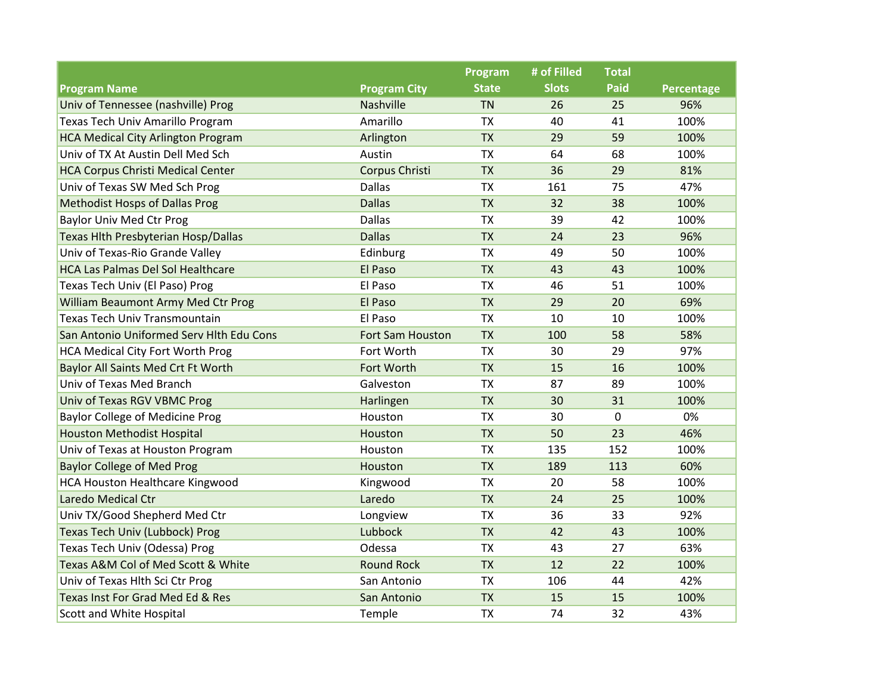|                                           |                     | Program      | # of Filled  | <b>Total</b> |            |
|-------------------------------------------|---------------------|--------------|--------------|--------------|------------|
| <b>Program Name</b>                       | <b>Program City</b> | <b>State</b> | <b>Slots</b> | <b>Paid</b>  | Percentage |
| Univ of Tennessee (nashville) Prog        | Nashville           | <b>TN</b>    | 26           | 25           | 96%        |
| Texas Tech Univ Amarillo Program          | Amarillo            | <b>TX</b>    | 40           | 41           | 100%       |
| <b>HCA Medical City Arlington Program</b> | Arlington           | <b>TX</b>    | 29           | 59           | 100%       |
| Univ of TX At Austin Dell Med Sch         | Austin              | <b>TX</b>    | 64           | 68           | 100%       |
| <b>HCA Corpus Christi Medical Center</b>  | Corpus Christi      | <b>TX</b>    | 36           | 29           | 81%        |
| Univ of Texas SW Med Sch Prog             | <b>Dallas</b>       | <b>TX</b>    | 161          | 75           | 47%        |
| <b>Methodist Hosps of Dallas Prog</b>     | <b>Dallas</b>       | <b>TX</b>    | 32           | 38           | 100%       |
| <b>Baylor Univ Med Ctr Prog</b>           | <b>Dallas</b>       | <b>TX</b>    | 39           | 42           | 100%       |
| Texas Hlth Presbyterian Hosp/Dallas       | <b>Dallas</b>       | <b>TX</b>    | 24           | 23           | 96%        |
| Univ of Texas-Rio Grande Valley           | Edinburg            | <b>TX</b>    | 49           | 50           | 100%       |
| <b>HCA Las Palmas Del Sol Healthcare</b>  | El Paso             | <b>TX</b>    | 43           | 43           | 100%       |
| Texas Tech Univ (El Paso) Prog            | El Paso             | <b>TX</b>    | 46           | 51           | 100%       |
| William Beaumont Army Med Ctr Prog        | El Paso             | <b>TX</b>    | 29           | 20           | 69%        |
| Texas Tech Univ Transmountain             | El Paso             | <b>TX</b>    | 10           | 10           | 100%       |
| San Antonio Uniformed Serv Hlth Edu Cons  | Fort Sam Houston    | <b>TX</b>    | 100          | 58           | 58%        |
| <b>HCA Medical City Fort Worth Prog</b>   | Fort Worth          | <b>TX</b>    | 30           | 29           | 97%        |
| Baylor All Saints Med Crt Ft Worth        | Fort Worth          | <b>TX</b>    | 15           | 16           | 100%       |
| Univ of Texas Med Branch                  | Galveston           | <b>TX</b>    | 87           | 89           | 100%       |
| Univ of Texas RGV VBMC Prog               | Harlingen           | <b>TX</b>    | 30           | 31           | 100%       |
| <b>Baylor College of Medicine Prog</b>    | Houston             | <b>TX</b>    | 30           | $\mathbf 0$  | 0%         |
| <b>Houston Methodist Hospital</b>         | Houston             | <b>TX</b>    | 50           | 23           | 46%        |
| Univ of Texas at Houston Program          | Houston             | <b>TX</b>    | 135          | 152          | 100%       |
| <b>Baylor College of Med Prog</b>         | Houston             | <b>TX</b>    | 189          | 113          | 60%        |
| <b>HCA Houston Healthcare Kingwood</b>    | Kingwood            | <b>TX</b>    | 20           | 58           | 100%       |
| Laredo Medical Ctr                        | Laredo              | <b>TX</b>    | 24           | 25           | 100%       |
| Univ TX/Good Shepherd Med Ctr             | Longview            | <b>TX</b>    | 36           | 33           | 92%        |
| <b>Texas Tech Univ (Lubbock) Prog</b>     | Lubbock             | <b>TX</b>    | 42           | 43           | 100%       |
| Texas Tech Univ (Odessa) Prog             | Odessa              | <b>TX</b>    | 43           | 27           | 63%        |
| Texas A&M Col of Med Scott & White        | <b>Round Rock</b>   | <b>TX</b>    | 12           | 22           | 100%       |
| Univ of Texas Hlth Sci Ctr Prog           | San Antonio         | TX           | 106          | 44           | 42%        |
| Texas Inst For Grad Med Ed & Res          | San Antonio         | <b>TX</b>    | 15           | 15           | 100%       |
| Scott and White Hospital                  | Temple              | <b>TX</b>    | 74           | 32           | 43%        |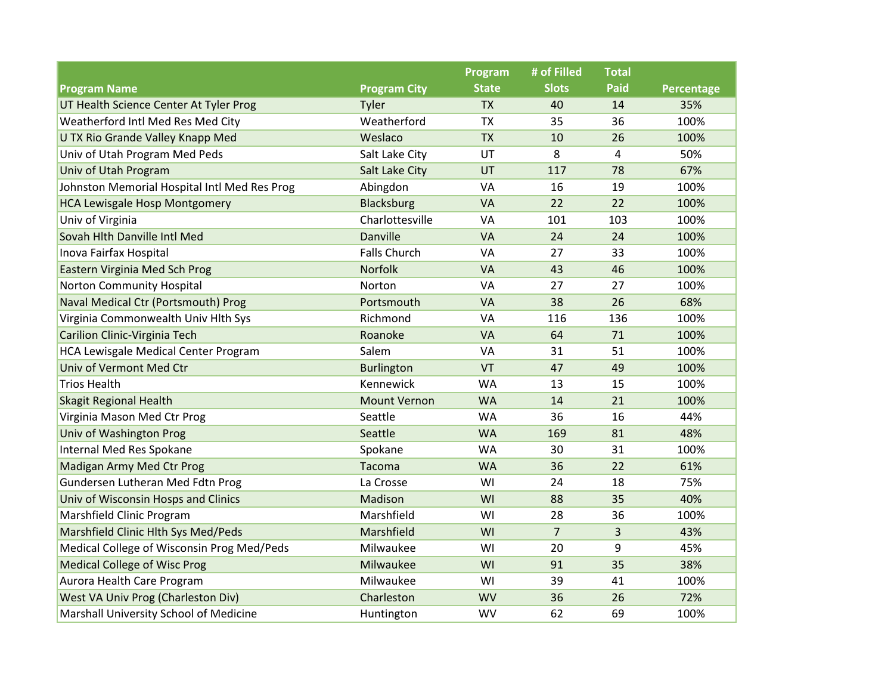|                                              |                     | Program      | # of Filled    | <b>Total</b> |            |
|----------------------------------------------|---------------------|--------------|----------------|--------------|------------|
| <b>Program Name</b>                          | <b>Program City</b> | <b>State</b> | <b>Slots</b>   | <b>Paid</b>  | Percentage |
| UT Health Science Center At Tyler Prog       | Tyler               | <b>TX</b>    | 40             | 14           | 35%        |
| Weatherford Intl Med Res Med City            | Weatherford         | <b>TX</b>    | 35             | 36           | 100%       |
| U TX Rio Grande Valley Knapp Med             | Weslaco             | <b>TX</b>    | 10             | 26           | 100%       |
| Univ of Utah Program Med Peds                | Salt Lake City      | UT           | 8              | 4            | 50%        |
| Univ of Utah Program                         | Salt Lake City      | UT           | 117            | 78           | 67%        |
| Johnston Memorial Hospital Intl Med Res Prog | Abingdon            | VA           | 16             | 19           | 100%       |
| <b>HCA Lewisgale Hosp Montgomery</b>         | <b>Blacksburg</b>   | VA           | 22             | 22           | 100%       |
| Univ of Virginia                             | Charlottesville     | VA           | 101            | 103          | 100%       |
| Sovah Hlth Danville Intl Med                 | Danville            | <b>VA</b>    | 24             | 24           | 100%       |
| Inova Fairfax Hospital                       | <b>Falls Church</b> | VA           | 27             | 33           | 100%       |
| Eastern Virginia Med Sch Prog                | Norfolk             | VA           | 43             | 46           | 100%       |
| <b>Norton Community Hospital</b>             | Norton              | VA           | 27             | 27           | 100%       |
| Naval Medical Ctr (Portsmouth) Prog          | Portsmouth          | VA           | 38             | 26           | 68%        |
| Virginia Commonwealth Univ Hlth Sys          | Richmond            | VA           | 116            | 136          | 100%       |
| Carilion Clinic-Virginia Tech                | Roanoke             | <b>VA</b>    | 64             | 71           | 100%       |
| HCA Lewisgale Medical Center Program         | Salem               | VA           | 31             | 51           | 100%       |
| Univ of Vermont Med Ctr                      | <b>Burlington</b>   | VT           | 47             | 49           | 100%       |
| <b>Trios Health</b>                          | Kennewick           | <b>WA</b>    | 13             | 15           | 100%       |
| <b>Skagit Regional Health</b>                | <b>Mount Vernon</b> | <b>WA</b>    | 14             | 21           | 100%       |
| Virginia Mason Med Ctr Prog                  | Seattle             | <b>WA</b>    | 36             | 16           | 44%        |
| Univ of Washington Prog                      | Seattle             | <b>WA</b>    | 169            | 81           | 48%        |
| Internal Med Res Spokane                     | Spokane             | <b>WA</b>    | 30             | 31           | 100%       |
| Madigan Army Med Ctr Prog                    | Tacoma              | <b>WA</b>    | 36             | 22           | 61%        |
| Gundersen Lutheran Med Fdtn Prog             | La Crosse           | WI           | 24             | 18           | 75%        |
| Univ of Wisconsin Hosps and Clinics          | Madison             | WI           | 88             | 35           | 40%        |
| Marshfield Clinic Program                    | Marshfield          | WI           | 28             | 36           | 100%       |
| Marshfield Clinic Hlth Sys Med/Peds          | Marshfield          | WI           | $\overline{7}$ | 3            | 43%        |
| Medical College of Wisconsin Prog Med/Peds   | Milwaukee           | WI           | 20             | 9            | 45%        |
| <b>Medical College of Wisc Prog</b>          | Milwaukee           | WI           | 91             | 35           | 38%        |
| Aurora Health Care Program                   | Milwaukee           | WI           | 39             | 41           | 100%       |
| West VA Univ Prog (Charleston Div)           | Charleston          | <b>WV</b>    | 36             | 26           | 72%        |
| Marshall University School of Medicine       | Huntington          | <b>WV</b>    | 62             | 69           | 100%       |